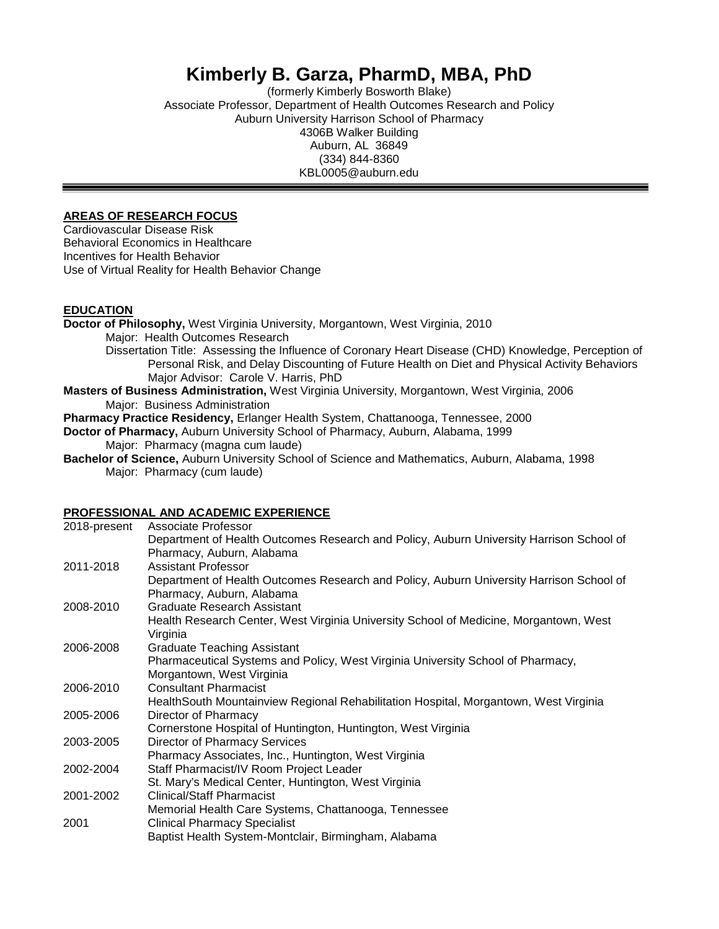## **Kimberly B. Garza, PharmD, MBA, PhD**

(formerly Kimberly Bosworth Blake) Associate Professor, Department of Health Outcomes Research and Policy Auburn University Harrison School of Pharmacy 4306B Walker Building Auburn, AL 36849 (334) 844-8360 KBL0005@auburn.edu

#### **AREAS OF RESEARCH FOCUS**

Cardiovascular Disease Risk Behavioral Economics in Healthcare Incentives for Health Behavior Use of Virtual Reality for Health Behavior Change

#### **EDUCATION**

**Doctor of Philosophy,** West Virginia University, Morgantown, West Virginia, 2010 Major: Health Outcomes Research Dissertation Title: Assessing the Influence of Coronary Heart Disease (CHD) Knowledge, Perception of Personal Risk, and Delay Discounting of Future Health on Diet and Physical Activity Behaviors Major Advisor: Carole V. Harris, PhD **Masters of Business Administration,** West Virginia University, Morgantown, West Virginia, 2006 Major: Business Administration

**Pharmacy Practice Residency,** Erlanger Health System, Chattanooga, Tennessee, 2000

**Doctor of Pharmacy,** Auburn University School of Pharmacy, Auburn, Alabama, 1999 Major: Pharmacy (magna cum laude)

**Bachelor of Science,** Auburn University School of Science and Mathematics, Auburn, Alabama, 1998 Major: Pharmacy (cum laude)

### **PROFESSIONAL AND ACADEMIC EXPERIENCE**

| 2018-present | Associate Professor                                                                     |
|--------------|-----------------------------------------------------------------------------------------|
|              | Department of Health Outcomes Research and Policy, Auburn University Harrison School of |
|              | Pharmacy, Auburn, Alabama                                                               |
| 2011-2018    | <b>Assistant Professor</b>                                                              |
|              | Department of Health Outcomes Research and Policy, Auburn University Harrison School of |
|              | Pharmacy, Auburn, Alabama                                                               |
| 2008-2010    | Graduate Research Assistant                                                             |
|              | Health Research Center, West Virginia University School of Medicine, Morgantown, West   |
|              | Virginia                                                                                |
| 2006-2008    | <b>Graduate Teaching Assistant</b>                                                      |
|              | Pharmaceutical Systems and Policy, West Virginia University School of Pharmacy,         |
|              | Morgantown, West Virginia                                                               |
| 2006-2010    | <b>Consultant Pharmacist</b>                                                            |
|              | HealthSouth Mountainview Regional Rehabilitation Hospital, Morgantown, West Virginia    |
| 2005-2006    | Director of Pharmacy                                                                    |
|              | Cornerstone Hospital of Huntington, Huntington, West Virginia                           |
| 2003-2005    | <b>Director of Pharmacy Services</b>                                                    |
|              | Pharmacy Associates, Inc., Huntington, West Virginia                                    |
| 2002-2004    | Staff Pharmacist/IV Room Project Leader                                                 |
|              | St. Mary's Medical Center, Huntington, West Virginia                                    |
| 2001-2002    | <b>Clinical/Staff Pharmacist</b>                                                        |
|              | Memorial Health Care Systems, Chattanooga, Tennessee                                    |
| 2001         | <b>Clinical Pharmacy Specialist</b>                                                     |
|              | Baptist Health System-Montclair, Birmingham, Alabama                                    |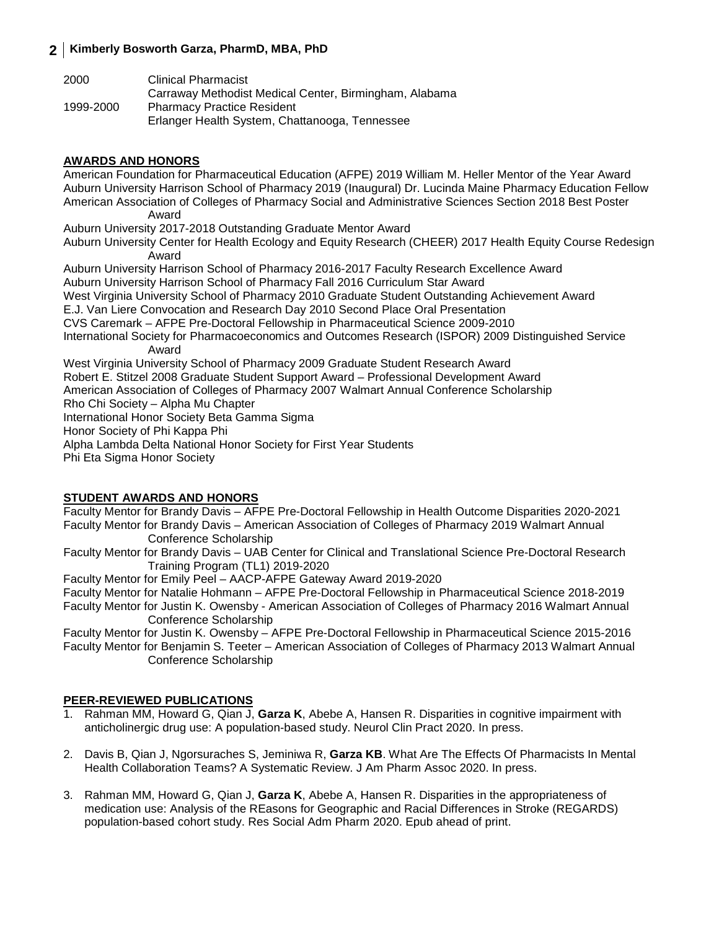| 2000      | Clinical Pharmacist                                    |
|-----------|--------------------------------------------------------|
|           | Carraway Methodist Medical Center, Birmingham, Alabama |
| 1999-2000 | <b>Pharmacy Practice Resident</b>                      |
|           | Erlanger Health System, Chattanooga, Tennessee         |

### **AWARDS AND HONORS**

American Foundation for Pharmaceutical Education (AFPE) 2019 William M. Heller Mentor of the Year Award Auburn University Harrison School of Pharmacy 2019 (Inaugural) Dr. Lucinda Maine Pharmacy Education Fellow American Association of Colleges of Pharmacy Social and Administrative Sciences Section 2018 Best Poster Award Auburn University 2017-2018 Outstanding Graduate Mentor Award Auburn University Center for Health Ecology and Equity Research (CHEER) 2017 Health Equity Course Redesign Award Auburn University Harrison School of Pharmacy 2016-2017 Faculty Research Excellence Award Auburn University Harrison School of Pharmacy Fall 2016 Curriculum Star Award West Virginia University School of Pharmacy 2010 Graduate Student Outstanding Achievement Award E.J. Van Liere Convocation and Research Day 2010 Second Place Oral Presentation CVS Caremark – AFPE Pre-Doctoral Fellowship in Pharmaceutical Science 2009-2010 International Society for Pharmacoeconomics and Outcomes Research (ISPOR) 2009 Distinguished Service Award West Virginia University School of Pharmacy 2009 Graduate Student Research Award Robert E. Stitzel 2008 Graduate Student Support Award – Professional Development Award American Association of Colleges of Pharmacy 2007 Walmart Annual Conference Scholarship Rho Chi Society – Alpha Mu Chapter International Honor Society Beta Gamma Sigma Honor Society of Phi Kappa Phi Alpha Lambda Delta National Honor Society for First Year Students Phi Eta Sigma Honor Society

#### **STUDENT AWARDS AND HONORS**

Faculty Mentor for Brandy Davis – AFPE Pre-Doctoral Fellowship in Health Outcome Disparities 2020-2021 Faculty Mentor for Brandy Davis – American Association of Colleges of Pharmacy 2019 Walmart Annual Conference Scholarship

Faculty Mentor for Brandy Davis – UAB Center for Clinical and Translational Science Pre-Doctoral Research Training Program (TL1) 2019-2020

Faculty Mentor for Emily Peel – AACP-AFPE Gateway Award 2019-2020

Faculty Mentor for Natalie Hohmann – AFPE Pre-Doctoral Fellowship in Pharmaceutical Science 2018-2019

Faculty Mentor for Justin K. Owensby - American Association of Colleges of Pharmacy 2016 Walmart Annual Conference Scholarship

Faculty Mentor for Justin K. Owensby – AFPE Pre-Doctoral Fellowship in Pharmaceutical Science 2015-2016 Faculty Mentor for Benjamin S. Teeter – American Association of Colleges of Pharmacy 2013 Walmart Annual Conference Scholarship

#### **PEER-REVIEWED PUBLICATIONS**

- 1. Rahman MM, Howard G, Qian J, **Garza K**, Abebe A, Hansen R. Disparities in cognitive impairment with anticholinergic drug use: A population-based study. Neurol Clin Pract 2020. In press.
- 2. Davis B, Qian J, Ngorsuraches S, Jeminiwa R, **Garza KB**. What Are The Effects Of Pharmacists In Mental Health Collaboration Teams? A Systematic Review. J Am Pharm Assoc 2020. In press.
- 3. Rahman MM, Howard G, Qian J, **Garza K**, Abebe A, Hansen R. Disparities in the appropriateness of medication use: Analysis of the REasons for Geographic and Racial Differences in Stroke (REGARDS) population-based cohort study. Res Social Adm Pharm 2020. Epub ahead of print.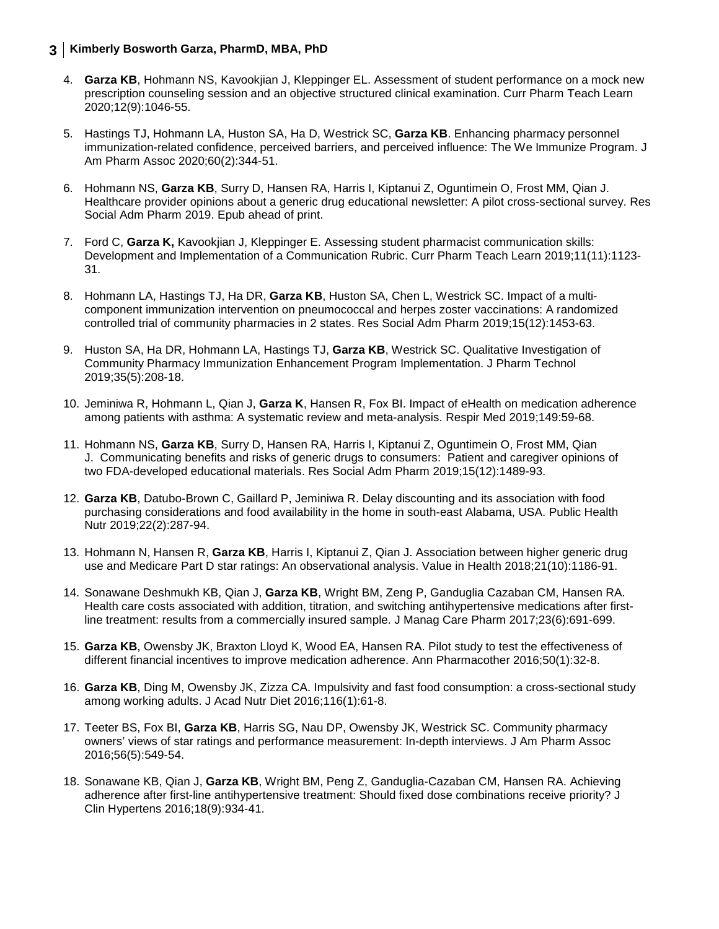- 4. **Garza KB**, Hohmann NS, Kavookjian J, Kleppinger EL. Assessment of student performance on a mock new prescription counseling session and an objective structured clinical examination. Curr Pharm Teach Learn 2020;12(9):1046-55.
- 5. Hastings TJ, Hohmann LA, Huston SA, Ha D, Westrick SC, **Garza KB**. Enhancing pharmacy personnel immunization-related confidence, perceived barriers, and perceived influence: The We Immunize Program. J Am Pharm Assoc 2020;60(2):344-51.
- 6. Hohmann NS, **Garza KB**, Surry D, Hansen RA, Harris I, Kiptanui Z, Oguntimein O, Frost MM, Qian J. Healthcare provider opinions about a generic drug educational newsletter: A pilot cross-sectional survey. Res Social Adm Pharm 2019. Epub ahead of print.
- 7. Ford C, **Garza K,** Kavookjian J, Kleppinger E. Assessing student pharmacist communication skills: Development and Implementation of a Communication Rubric. Curr Pharm Teach Learn 2019;11(11):1123- 31.
- 8. Hohmann LA, Hastings TJ, Ha DR, **Garza KB**, Huston SA, Chen L, Westrick SC. Impact of a multicomponent immunization intervention on pneumococcal and herpes zoster vaccinations: A randomized controlled trial of community pharmacies in 2 states. Res Social Adm Pharm 2019;15(12):1453-63.
- 9. Huston SA, Ha DR, Hohmann LA, Hastings TJ, **Garza KB**, Westrick SC. Qualitative Investigation of Community Pharmacy Immunization Enhancement Program Implementation. J Pharm Technol 2019;35(5):208-18.
- 10. Jeminiwa R, Hohmann L, Qian J, **Garza K**, Hansen R, Fox BI. Impact of eHealth on medication adherence among patients with asthma: A systematic review and meta-analysis. Respir Med 2019;149:59-68.
- 11. Hohmann NS, **Garza KB**, Surry D, Hansen RA, Harris I, Kiptanui Z, Oguntimein O, Frost MM, Qian J. Communicating benefits and risks of generic drugs to consumers: Patient and caregiver opinions of two FDA-developed educational materials. Res Social Adm Pharm 2019;15(12):1489-93.
- 12. **Garza KB**, Datubo-Brown C, Gaillard P, Jeminiwa R. Delay discounting and its association with food purchasing considerations and food availability in the home in south-east Alabama, USA. Public Health Nutr 2019;22(2):287-94.
- 13. Hohmann N, Hansen R, **Garza KB**, Harris I, Kiptanui Z, Qian J. Association between higher generic drug use and Medicare Part D star ratings: An observational analysis. Value in Health 2018;21(10):1186-91.
- 14. Sonawane Deshmukh KB, Qian J, **Garza KB**, Wright BM, Zeng P, Ganduglia Cazaban CM, Hansen RA. Health care costs associated with addition, titration, and switching antihypertensive medications after firstline treatment: results from a commercially insured sample. J Manag Care Pharm 2017;23(6):691-699.
- 15. **Garza KB**, Owensby JK, Braxton Lloyd K, Wood EA, Hansen RA. Pilot study to test the effectiveness of different financial incentives to improve medication adherence. Ann Pharmacother 2016;50(1):32-8.
- 16. **Garza KB**, Ding M, Owensby JK, Zizza CA. Impulsivity and fast food consumption: a cross-sectional study among working adults. J Acad Nutr Diet 2016;116(1):61-8.
- 17. Teeter BS, Fox BI, **Garza KB**, Harris SG, Nau DP, Owensby JK, Westrick SC. Community pharmacy owners' views of star ratings and performance measurement: In-depth interviews. J Am Pharm Assoc 2016;56(5):549-54.
- 18. Sonawane KB, Qian J, **Garza KB**, Wright BM, Peng Z, Ganduglia-Cazaban CM, Hansen RA. Achieving adherence after first-line antihypertensive treatment: Should fixed dose combinations receive priority? J Clin Hypertens 2016;18(9):934-41.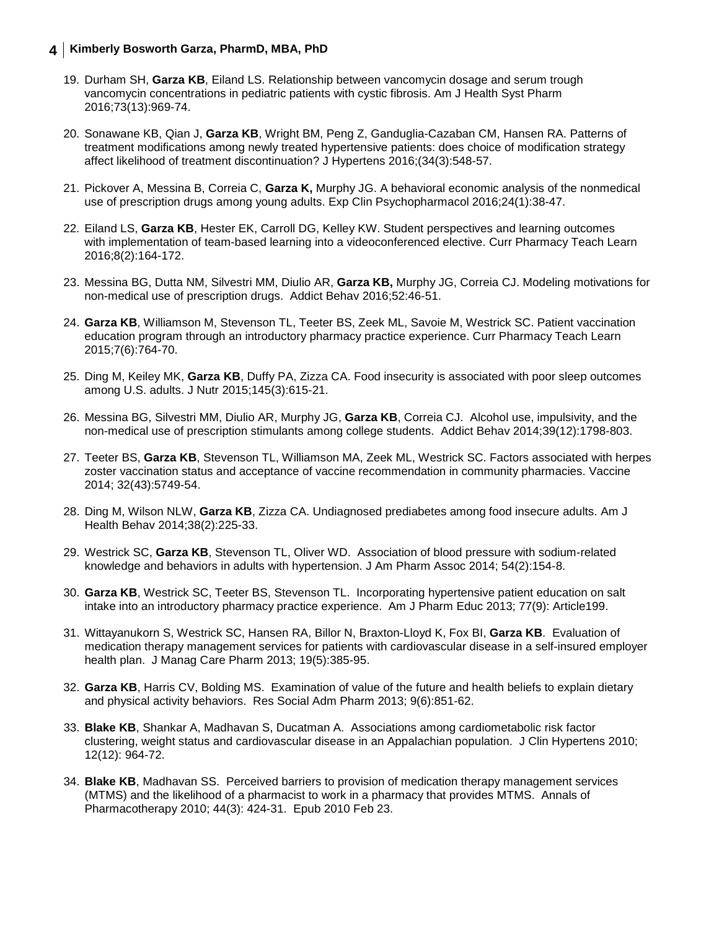- 19. Durham SH, **Garza KB**, Eiland LS. Relationship between vancomycin dosage and serum trough vancomycin concentrations in pediatric patients with cystic fibrosis. Am J Health Syst Pharm 2016;73(13):969-74.
- 20. Sonawane KB, Qian J, **Garza KB**, Wright BM, Peng Z, Ganduglia-Cazaban CM, Hansen RA. Patterns of treatment modifications among newly treated hypertensive patients: does choice of modification strategy affect likelihood of treatment discontinuation? J Hypertens 2016;(34(3):548-57.
- 21. Pickover A, Messina B, Correia C, **Garza K,** Murphy JG. A behavioral economic analysis of the nonmedical use of prescription drugs among young adults. Exp Clin Psychopharmacol 2016;24(1):38-47.
- 22. Eiland LS, **Garza KB**, Hester EK, Carroll DG, Kelley KW. Student perspectives and learning outcomes with implementation of team-based learning into a videoconferenced elective. Curr Pharmacy Teach Learn 2016;8(2):164-172.
- 23. Messina BG, Dutta NM, Silvestri MM, Diulio AR, **Garza KB,** Murphy JG, Correia CJ. Modeling motivations for non-medical use of prescription drugs. Addict Behav 2016;52:46-51.
- 24. **Garza KB**, Williamson M, Stevenson TL, Teeter BS, Zeek ML, Savoie M, Westrick SC. Patient vaccination education program through an introductory pharmacy practice experience. Curr Pharmacy Teach Learn 2015;7(6):764-70.
- 25. Ding M, Keiley MK, **Garza KB**, Duffy PA, Zizza CA. Food insecurity is associated with poor sleep outcomes among U.S. adults. J Nutr 2015;145(3):615-21.
- 26. Messina BG, Silvestri MM, Diulio AR, Murphy JG, **Garza KB**, Correia CJ. Alcohol use, impulsivity, and the non-medical use of prescription stimulants among college students. Addict Behav 2014;39(12):1798-803.
- 27. Teeter BS, **Garza KB**, Stevenson TL, Williamson MA, Zeek ML, Westrick SC. Factors associated with herpes zoster vaccination status and acceptance of vaccine recommendation in community pharmacies. Vaccine 2014; 32(43):5749-54.
- 28. Ding M, Wilson NLW, **Garza KB**, Zizza CA. Undiagnosed prediabetes among food insecure adults. Am J Health Behav 2014;38(2):225-33.
- 29. Westrick SC, **Garza KB**, Stevenson TL, Oliver WD. Association of blood pressure with sodium-related knowledge and behaviors in adults with hypertension. J Am Pharm Assoc 2014; 54(2):154-8.
- 30. **Garza KB**, Westrick SC, Teeter BS, Stevenson TL. Incorporating hypertensive patient education on salt intake into an introductory pharmacy practice experience. Am J Pharm Educ 2013; 77(9): Article199.
- 31. Wittayanukorn S, Westrick SC, Hansen RA, Billor N, Braxton-Lloyd K, Fox BI, **Garza KB**. Evaluation of medication therapy management services for patients with cardiovascular disease in a self-insured employer health plan. J Manag Care Pharm 2013; 19(5):385-95.
- 32. **Garza KB**, Harris CV, Bolding MS. Examination of value of the future and health beliefs to explain dietary and physical activity behaviors. Res Social Adm Pharm 2013; 9(6):851-62.
- 33. **Blake KB**, Shankar A, Madhavan S, Ducatman A. Associations among cardiometabolic risk factor clustering, weight status and cardiovascular disease in an Appalachian population. J Clin Hypertens 2010; 12(12): 964-72.
- 34. **Blake KB**, Madhavan SS. Perceived barriers to provision of medication therapy management services (MTMS) and the likelihood of a pharmacist to work in a pharmacy that provides MTMS. Annals of Pharmacotherapy 2010; 44(3): 424-31. Epub 2010 Feb 23.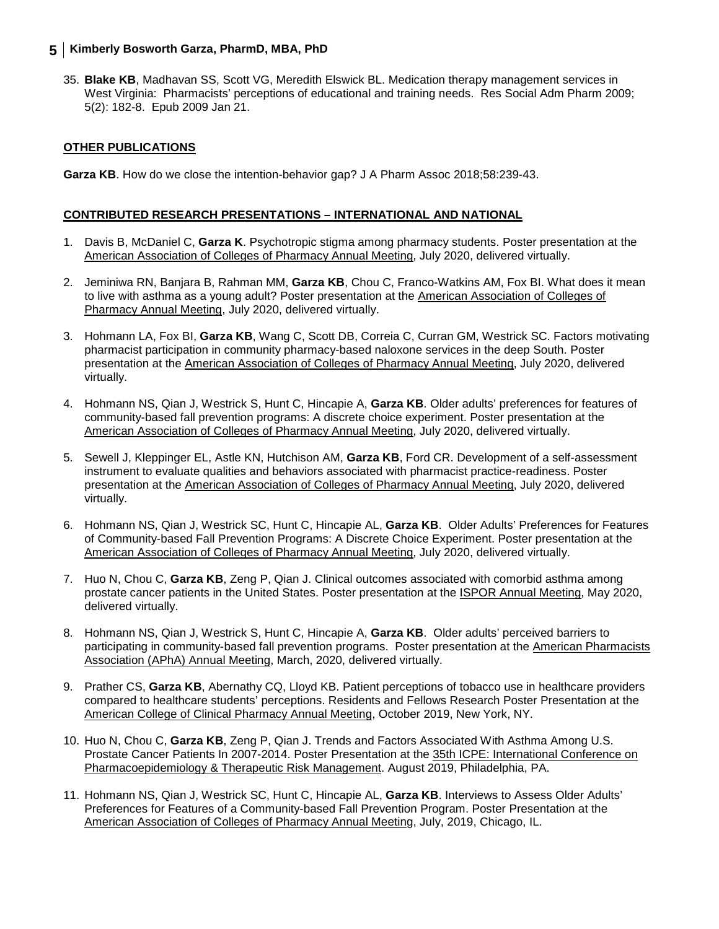35. **Blake KB**, Madhavan SS, Scott VG, Meredith Elswick BL. Medication therapy management services in West Virginia: Pharmacists' perceptions of educational and training needs. Res Social Adm Pharm 2009; 5(2): 182-8. Epub 2009 Jan 21.

#### **OTHER PUBLICATIONS**

**Garza KB**. How do we close the intention-behavior gap? J A Pharm Assoc 2018;58:239-43.

#### **CONTRIBUTED RESEARCH PRESENTATIONS – INTERNATIONAL AND NATIONAL**

- 1. Davis B, McDaniel C, **Garza K**. Psychotropic stigma among pharmacy students. Poster presentation at the American Association of Colleges of Pharmacy Annual Meeting, July 2020, delivered virtually.
- 2. Jeminiwa RN, Banjara B, Rahman MM, **Garza KB**, Chou C, Franco-Watkins AM, Fox BI. What does it mean to live with asthma as a young adult? Poster presentation at the American Association of Colleges of Pharmacy Annual Meeting, July 2020, delivered virtually.
- 3. Hohmann LA, Fox BI, **Garza KB**, Wang C, Scott DB, Correia C, Curran GM, Westrick SC. Factors motivating pharmacist participation in community pharmacy-based naloxone services in the deep South. Poster presentation at the American Association of Colleges of Pharmacy Annual Meeting, July 2020, delivered virtually.
- 4. Hohmann NS, Qian J, Westrick S, Hunt C, Hincapie A, **Garza KB**. Older adults' preferences for features of community-based fall prevention programs: A discrete choice experiment. Poster presentation at the American Association of Colleges of Pharmacy Annual Meeting, July 2020, delivered virtually.
- 5. Sewell J, Kleppinger EL, Astle KN, Hutchison AM, **Garza KB**, Ford CR. Development of a self-assessment instrument to evaluate qualities and behaviors associated with pharmacist practice-readiness. Poster presentation at the American Association of Colleges of Pharmacy Annual Meeting, July 2020, delivered virtually.
- 6. Hohmann NS, Qian J, Westrick SC, Hunt C, Hincapie AL, **Garza KB**. Older Adults' Preferences for Features of Community-based Fall Prevention Programs: A Discrete Choice Experiment. Poster presentation at the American Association of Colleges of Pharmacy Annual Meeting, July 2020, delivered virtually.
- 7. Huo N, Chou C, **Garza KB**, Zeng P, Qian J. Clinical outcomes associated with comorbid asthma among prostate cancer patients in the United States. Poster presentation at the ISPOR Annual Meeting, May 2020, delivered virtually.
- 8. Hohmann NS, Qian J, Westrick S, Hunt C, Hincapie A, **Garza KB**. Older adults' perceived barriers to participating in community-based fall prevention programs. Poster presentation at the American Pharmacists Association (APhA) Annual Meeting, March, 2020, delivered virtually.
- 9. Prather CS, **Garza KB**, Abernathy CQ, Lloyd KB. Patient perceptions of tobacco use in healthcare providers compared to healthcare students' perceptions. Residents and Fellows Research Poster Presentation at the American College of Clinical Pharmacy Annual Meeting, October 2019, New York, NY.
- 10. Huo N, Chou C, **Garza KB**, Zeng P, Qian J. Trends and Factors Associated With Asthma Among U.S. Prostate Cancer Patients In 2007-2014. Poster Presentation at the 35th ICPE: International Conference on Pharmacoepidemiology & Therapeutic Risk Management. August 2019, Philadelphia, PA.
- 11. Hohmann NS, Qian J, Westrick SC, Hunt C, Hincapie AL, **Garza KB**. Interviews to Assess Older Adults' Preferences for Features of a Community-based Fall Prevention Program. Poster Presentation at the American Association of Colleges of Pharmacy Annual Meeting, July, 2019, Chicago, IL.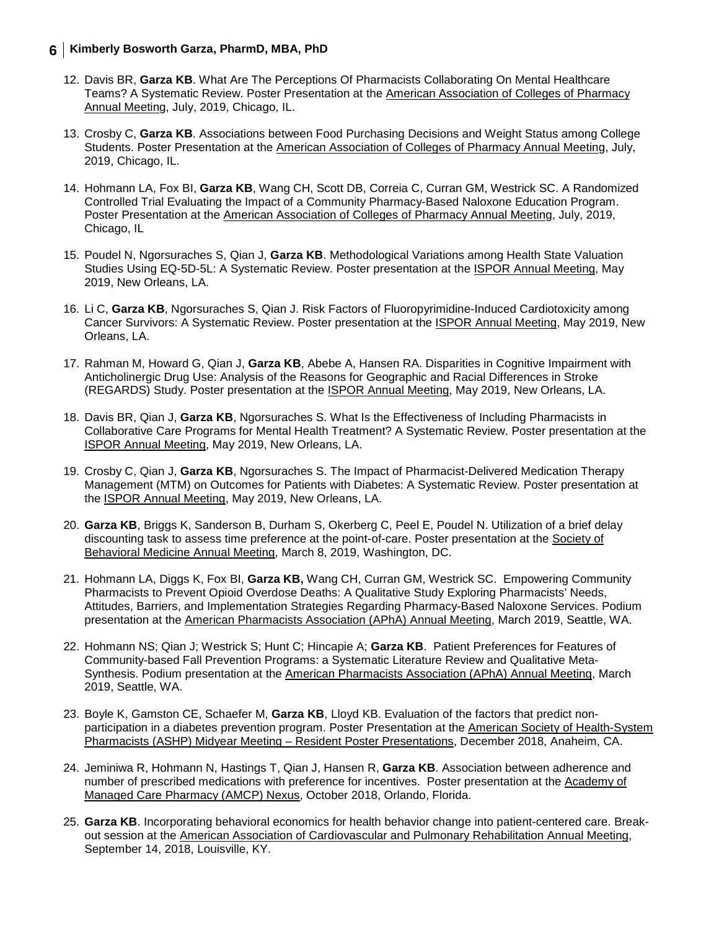- 12. Davis BR, **Garza KB**. What Are The Perceptions Of Pharmacists Collaborating On Mental Healthcare Teams? A Systematic Review. Poster Presentation at the American Association of Colleges of Pharmacy Annual Meeting, July, 2019, Chicago, IL.
- 13. Crosby C, **Garza KB**. Associations between Food Purchasing Decisions and Weight Status among College Students. Poster Presentation at the American Association of Colleges of Pharmacy Annual Meeting, July, 2019, Chicago, IL.
- 14. Hohmann LA, Fox BI, **Garza KB**, Wang CH, Scott DB, Correia C, Curran GM, Westrick SC. A Randomized Controlled Trial Evaluating the Impact of a Community Pharmacy-Based Naloxone Education Program. Poster Presentation at the American Association of Colleges of Pharmacy Annual Meeting, July, 2019, Chicago, IL
- 15. Poudel N, Ngorsuraches S, Qian J, **Garza KB**. Methodological Variations among Health State Valuation Studies Using EQ-5D-5L: A Systematic Review. Poster presentation at the ISPOR Annual Meeting, May 2019, New Orleans, LA.
- 16. Li C, **Garza KB**, Ngorsuraches S, Qian J. Risk Factors of Fluoropyrimidine-Induced Cardiotoxicity among Cancer Survivors: A Systematic Review. Poster presentation at the ISPOR Annual Meeting, May 2019, New Orleans, LA.
- 17. Rahman M, Howard G, Qian J, **Garza KB**, Abebe A, Hansen RA. Disparities in Cognitive Impairment with Anticholinergic Drug Use: Analysis of the Reasons for Geographic and Racial Differences in Stroke (REGARDS) Study. Poster presentation at the ISPOR Annual Meeting, May 2019, New Orleans, LA.
- 18. Davis BR, Qian J, **Garza KB**, Ngorsuraches S. What Is the Effectiveness of Including Pharmacists in Collaborative Care Programs for Mental Health Treatment? A Systematic Review. Poster presentation at the ISPOR Annual Meeting, May 2019, New Orleans, LA.
- 19. Crosby C, Qian J, **Garza KB**, Ngorsuraches S. The Impact of Pharmacist-Delivered Medication Therapy Management (MTM) on Outcomes for Patients with Diabetes: A Systematic Review. Poster presentation at the ISPOR Annual Meeting, May 2019, New Orleans, LA.
- 20. **Garza KB**, Briggs K, Sanderson B, Durham S, Okerberg C, Peel E, Poudel N. Utilization of a brief delay discounting task to assess time preference at the point-of-care. Poster presentation at the Society of Behavioral Medicine Annual Meeting, March 8, 2019, Washington, DC.
- 21. Hohmann LA, Diggs K, Fox BI, **Garza KB,** Wang CH, Curran GM, Westrick SC. Empowering Community Pharmacists to Prevent Opioid Overdose Deaths: A Qualitative Study Exploring Pharmacists' Needs, Attitudes, Barriers, and Implementation Strategies Regarding Pharmacy-Based Naloxone Services. Podium presentation at the American Pharmacists Association (APhA) Annual Meeting, March 2019, Seattle, WA.
- 22. Hohmann NS; Qian J; Westrick S; Hunt C; Hincapie A; **Garza KB**. Patient Preferences for Features of Community-based Fall Prevention Programs: a Systematic Literature Review and Qualitative Meta-Synthesis. Podium presentation at the American Pharmacists Association (APhA) Annual Meeting, March 2019, Seattle, WA.
- 23. Boyle K, Gamston CE, Schaefer M, **Garza KB**, Lloyd KB. Evaluation of the factors that predict nonparticipation in a diabetes prevention program. Poster Presentation at the American Society of Health-System Pharmacists (ASHP) Midyear Meeting – Resident Poster Presentations, December 2018, Anaheim, CA.
- 24. Jeminiwa R, Hohmann N, Hastings T, Qian J, Hansen R, **Garza KB**. Association between adherence and number of prescribed medications with preference for incentives. Poster presentation at the Academy of Managed Care Pharmacy (AMCP) Nexus, October 2018, Orlando, Florida.
- 25. **Garza KB**. Incorporating behavioral economics for health behavior change into patient-centered care. Breakout session at the American Association of Cardiovascular and Pulmonary Rehabilitation Annual Meeting, September 14, 2018, Louisville, KY.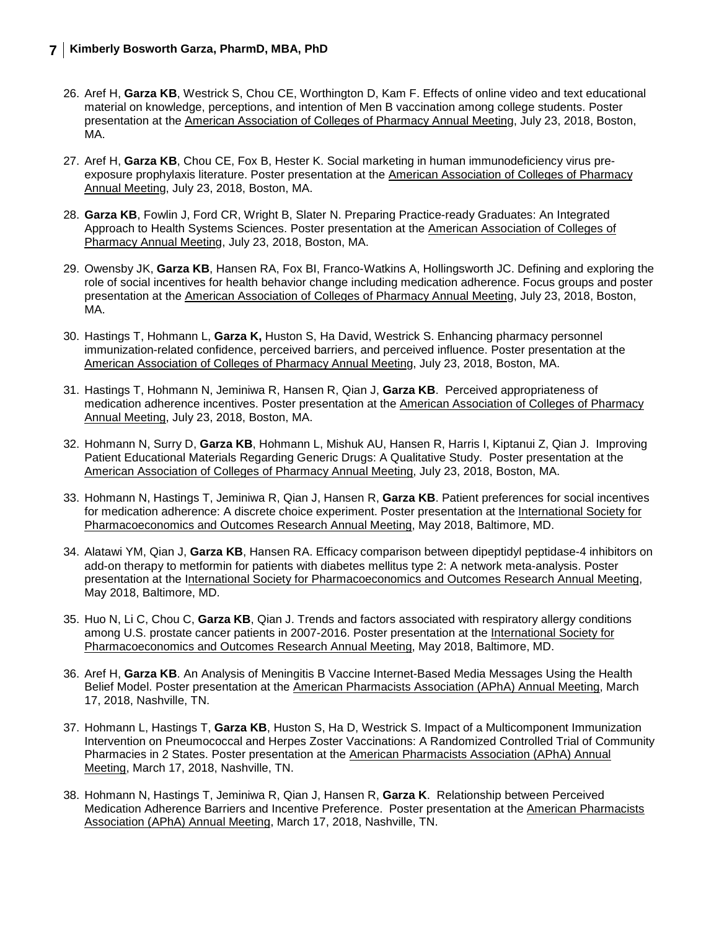- 26. Aref H, **Garza KB**, Westrick S, Chou CE, Worthington D, Kam F. Effects of online video and text educational material on knowledge, perceptions, and intention of Men B vaccination among college students. Poster presentation at the American Association of Colleges of Pharmacy Annual Meeting, July 23, 2018, Boston, MA.
- 27. Aref H, **Garza KB**, Chou CE, Fox B, Hester K. Social marketing in human immunodeficiency virus preexposure prophylaxis literature. Poster presentation at the American Association of Colleges of Pharmacy Annual Meeting, July 23, 2018, Boston, MA.
- 28. **Garza KB**, Fowlin J, Ford CR, Wright B, Slater N. Preparing Practice-ready Graduates: An Integrated Approach to Health Systems Sciences. Poster presentation at the American Association of Colleges of Pharmacy Annual Meeting, July 23, 2018, Boston, MA.
- 29. Owensby JK, **Garza KB**, Hansen RA, Fox BI, Franco-Watkins A, Hollingsworth JC. Defining and exploring the role of social incentives for health behavior change including medication adherence. Focus groups and poster presentation at the American Association of Colleges of Pharmacy Annual Meeting, July 23, 2018, Boston, MA.
- 30. Hastings T, Hohmann L, **Garza K,** Huston S, Ha David, Westrick S. Enhancing pharmacy personnel immunization-related confidence, perceived barriers, and perceived influence. Poster presentation at the American Association of Colleges of Pharmacy Annual Meeting, July 23, 2018, Boston, MA.
- 31. Hastings T, Hohmann N, Jeminiwa R, Hansen R, Qian J, **Garza KB**. Perceived appropriateness of medication adherence incentives. Poster presentation at the American Association of Colleges of Pharmacy Annual Meeting, July 23, 2018, Boston, MA.
- 32. Hohmann N, Surry D, **Garza KB**, Hohmann L, Mishuk AU, Hansen R, Harris I, Kiptanui Z, Qian J. Improving Patient Educational Materials Regarding Generic Drugs: A Qualitative Study. Poster presentation at the American Association of Colleges of Pharmacy Annual Meeting, July 23, 2018, Boston, MA.
- 33. Hohmann N, Hastings T, Jeminiwa R, Qian J, Hansen R, **Garza KB**. Patient preferences for social incentives for medication adherence: A discrete choice experiment. Poster presentation at the International Society for Pharmacoeconomics and Outcomes Research Annual Meeting, May 2018, Baltimore, MD.
- 34. Alatawi YM, Qian J, **Garza KB**, Hansen RA. Efficacy comparison between dipeptidyl peptidase-4 inhibitors on add-on therapy to metformin for patients with diabetes mellitus type 2: A network meta-analysis. Poster presentation at the International Society for Pharmacoeconomics and Outcomes Research Annual Meeting, May 2018, Baltimore, MD.
- 35. Huo N, Li C, Chou C, **Garza KB**, Qian J. Trends and factors associated with respiratory allergy conditions among U.S. prostate cancer patients in 2007-2016. Poster presentation at the International Society for Pharmacoeconomics and Outcomes Research Annual Meeting, May 2018, Baltimore, MD.
- 36. Aref H, **Garza KB**. An Analysis of Meningitis B Vaccine Internet-Based Media Messages Using the Health Belief Model. Poster presentation at the American Pharmacists Association (APhA) Annual Meeting, March 17, 2018, Nashville, TN.
- 37. Hohmann L, Hastings T, **Garza KB**, Huston S, Ha D, Westrick S. Impact of a Multicomponent Immunization Intervention on Pneumococcal and Herpes Zoster Vaccinations: A Randomized Controlled Trial of Community Pharmacies in 2 States. Poster presentation at the American Pharmacists Association (APhA) Annual Meeting, March 17, 2018, Nashville, TN.
- 38. Hohmann N, Hastings T, Jeminiwa R, Qian J, Hansen R, **Garza K**. Relationship between Perceived Medication Adherence Barriers and Incentive Preference. Poster presentation at the American Pharmacists Association (APhA) Annual Meeting, March 17, 2018, Nashville, TN.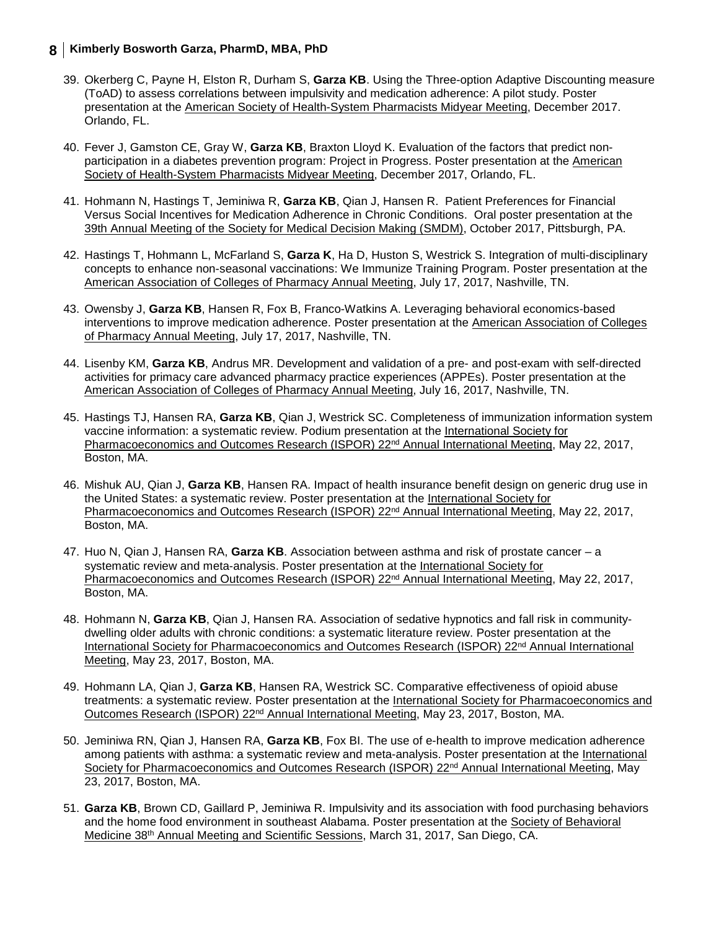- 39. Okerberg C, Payne H, Elston R, Durham S, **Garza KB**. Using the Three-option Adaptive Discounting measure (ToAD) to assess correlations between impulsivity and medication adherence: A pilot study. Poster presentation at the American Society of Health-System Pharmacists Midyear Meeting, December 2017. Orlando, FL.
- 40. Fever J, Gamston CE, Gray W, **Garza KB**, Braxton Lloyd K. Evaluation of the factors that predict nonparticipation in a diabetes prevention program: Project in Progress. Poster presentation at the American Society of Health-System Pharmacists Midyear Meeting, December 2017, Orlando, FL.
- 41. Hohmann N, Hastings T, Jeminiwa R, **Garza KB**, Qian J, Hansen R. Patient Preferences for Financial Versus Social Incentives for Medication Adherence in Chronic Conditions. Oral poster presentation at the 39th Annual Meeting of the Society for Medical Decision Making (SMDM), October 2017, Pittsburgh, PA.
- 42. Hastings T, Hohmann L, McFarland S, **Garza K**, Ha D, Huston S, Westrick S. Integration of multi-disciplinary concepts to enhance non-seasonal vaccinations: We Immunize Training Program. Poster presentation at the American Association of Colleges of Pharmacy Annual Meeting, July 17, 2017, Nashville, TN.
- 43. Owensby J, **Garza KB**, Hansen R, Fox B, Franco-Watkins A. Leveraging behavioral economics-based interventions to improve medication adherence. Poster presentation at the American Association of Colleges of Pharmacy Annual Meeting, July 17, 2017, Nashville, TN.
- 44. Lisenby KM, **Garza KB**, Andrus MR. Development and validation of a pre- and post-exam with self-directed activities for primacy care advanced pharmacy practice experiences (APPEs). Poster presentation at the American Association of Colleges of Pharmacy Annual Meeting, July 16, 2017, Nashville, TN.
- 45. Hastings TJ, Hansen RA, **Garza KB**, Qian J, Westrick SC. Completeness of immunization information system vaccine information: a systematic review. Podium presentation at the International Society for Pharmacoeconomics and Outcomes Research (ISPOR) 22<sup>nd</sup> Annual International Meeting, May 22, 2017, Boston, MA.
- 46. Mishuk AU, Qian J, **Garza KB**, Hansen RA. Impact of health insurance benefit design on generic drug use in the United States: a systematic review. Poster presentation at the International Society for Pharmacoeconomics and Outcomes Research (ISPOR) 22<sup>nd</sup> Annual International Meeting, May 22, 2017, Boston, MA.
- 47. Huo N, Qian J, Hansen RA, **Garza KB**. Association between asthma and risk of prostate cancer a systematic review and meta-analysis. Poster presentation at the International Society for Pharmacoeconomics and Outcomes Research (ISPOR) 22<sup>nd</sup> Annual International Meeting, May 22, 2017, Boston, MA.
- 48. Hohmann N, **Garza KB**, Qian J, Hansen RA. Association of sedative hypnotics and fall risk in communitydwelling older adults with chronic conditions: a systematic literature review. Poster presentation at the International Society for Pharmacoeconomics and Outcomes Research (ISPOR) 22nd Annual International Meeting, May 23, 2017, Boston, MA.
- 49. Hohmann LA, Qian J, **Garza KB**, Hansen RA, Westrick SC. Comparative effectiveness of opioid abuse treatments: a systematic review. Poster presentation at the International Society for Pharmacoeconomics and Outcomes Research (ISPOR) 22nd Annual International Meeting, May 23, 2017, Boston, MA.
- 50. Jeminiwa RN, Qian J, Hansen RA, **Garza KB**, Fox BI. The use of e-health to improve medication adherence among patients with asthma: a systematic review and meta-analysis. Poster presentation at the International Society for Pharmacoeconomics and Outcomes Research (ISPOR) 22<sup>nd</sup> Annual International Meeting, May 23, 2017, Boston, MA.
- 51. **Garza KB**, Brown CD, Gaillard P, Jeminiwa R. Impulsivity and its association with food purchasing behaviors and the home food environment in southeast Alabama. Poster presentation at the Society of Behavioral Medicine 38th Annual Meeting and Scientific Sessions, March 31, 2017, San Diego, CA.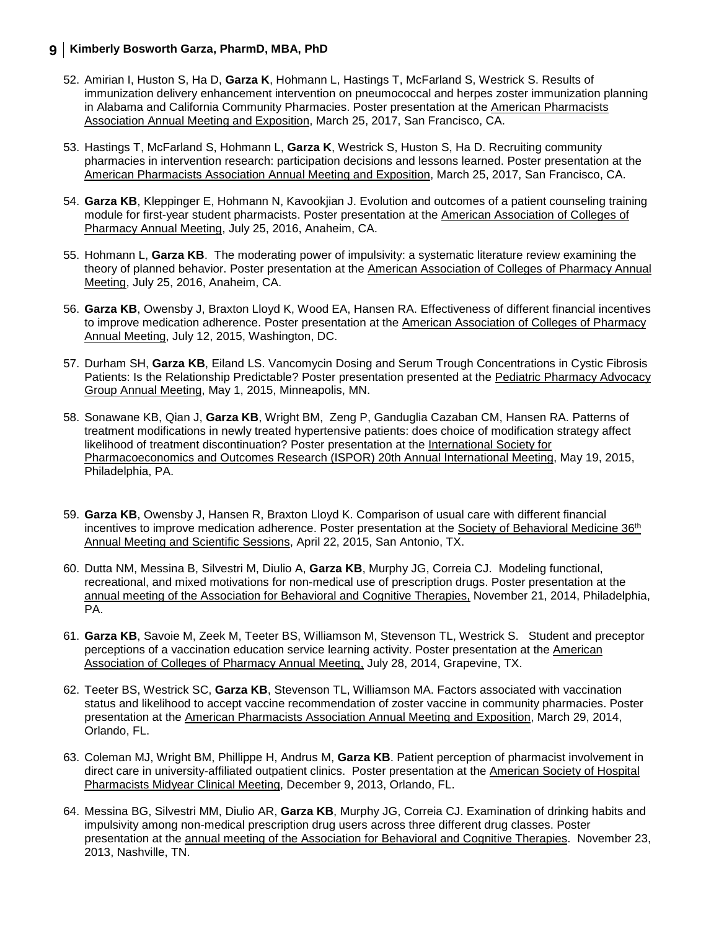- 52. Amirian I, Huston S, Ha D, **Garza K**, Hohmann L, Hastings T, McFarland S, Westrick S. Results of immunization delivery enhancement intervention on pneumococcal and herpes zoster immunization planning in Alabama and California Community Pharmacies. Poster presentation at the American Pharmacists Association Annual Meeting and Exposition, March 25, 2017, San Francisco, CA.
- 53. Hastings T, McFarland S, Hohmann L, **Garza K**, Westrick S, Huston S, Ha D. Recruiting community pharmacies in intervention research: participation decisions and lessons learned. Poster presentation at the American Pharmacists Association Annual Meeting and Exposition, March 25, 2017, San Francisco, CA.
- 54. **Garza KB**, Kleppinger E, Hohmann N, Kavookjian J. Evolution and outcomes of a patient counseling training module for first-year student pharmacists. Poster presentation at the American Association of Colleges of Pharmacy Annual Meeting, July 25, 2016, Anaheim, CA.
- 55. Hohmann L, **Garza KB**. The moderating power of impulsivity: a systematic literature review examining the theory of planned behavior. Poster presentation at the American Association of Colleges of Pharmacy Annual Meeting, July 25, 2016, Anaheim, CA.
- 56. **Garza KB**, Owensby J, Braxton Lloyd K, Wood EA, Hansen RA. Effectiveness of different financial incentives to improve medication adherence. Poster presentation at the American Association of Colleges of Pharmacy Annual Meeting, July 12, 2015, Washington, DC.
- 57. Durham SH, **Garza KB**, Eiland LS. Vancomycin Dosing and Serum Trough Concentrations in Cystic Fibrosis Patients: Is the Relationship Predictable? Poster presentation presented at the Pediatric Pharmacy Advocacy Group Annual Meeting, May 1, 2015, Minneapolis, MN.
- 58. Sonawane KB, Qian J, **Garza KB**, Wright BM, Zeng P, Ganduglia Cazaban CM, Hansen RA. Patterns of treatment modifications in newly treated hypertensive patients: does choice of modification strategy affect likelihood of treatment discontinuation? Poster presentation at the International Society for Pharmacoeconomics and Outcomes Research (ISPOR) 20th Annual International Meeting, May 19, 2015, Philadelphia, PA.
- 59. **Garza KB**, Owensby J, Hansen R, Braxton Lloyd K. Comparison of usual care with different financial incentives to improve medication adherence. Poster presentation at the Society of Behavioral Medicine 36<sup>th</sup> Annual Meeting and Scientific Sessions, April 22, 2015, San Antonio, TX.
- 60. Dutta NM, Messina B, Silvestri M, Diulio A, **Garza KB**, Murphy JG, Correia CJ. Modeling functional, recreational, and mixed motivations for non-medical use of prescription drugs. Poster presentation at the annual meeting of the Association for Behavioral and Cognitive Therapies, November 21, 2014, Philadelphia, PA.
- 61. **Garza KB**, Savoie M, Zeek M, Teeter BS, Williamson M, Stevenson TL, Westrick S. Student and preceptor perceptions of a vaccination education service learning activity. Poster presentation at the American Association of Colleges of Pharmacy Annual Meeting, July 28, 2014, Grapevine, TX.
- 62. Teeter BS, Westrick SC, **Garza KB**, Stevenson TL, Williamson MA. Factors associated with vaccination status and likelihood to accept vaccine recommendation of zoster vaccine in community pharmacies. Poster presentation at the American Pharmacists Association Annual Meeting and Exposition, March 29, 2014, Orlando, FL.
- 63. Coleman MJ, Wright BM, Phillippe H, Andrus M, **Garza KB**. Patient perception of pharmacist involvement in direct care in university-affiliated outpatient clinics. Poster presentation at the American Society of Hospital Pharmacists Midyear Clinical Meeting, December 9, 2013, Orlando, FL.
- 64. Messina BG, Silvestri MM, Diulio AR, **Garza KB**, Murphy JG, Correia CJ. Examination of drinking habits and impulsivity among non-medical prescription drug users across three different drug classes. Poster presentation at the annual meeting of the Association for Behavioral and Cognitive Therapies. November 23, 2013, Nashville, TN.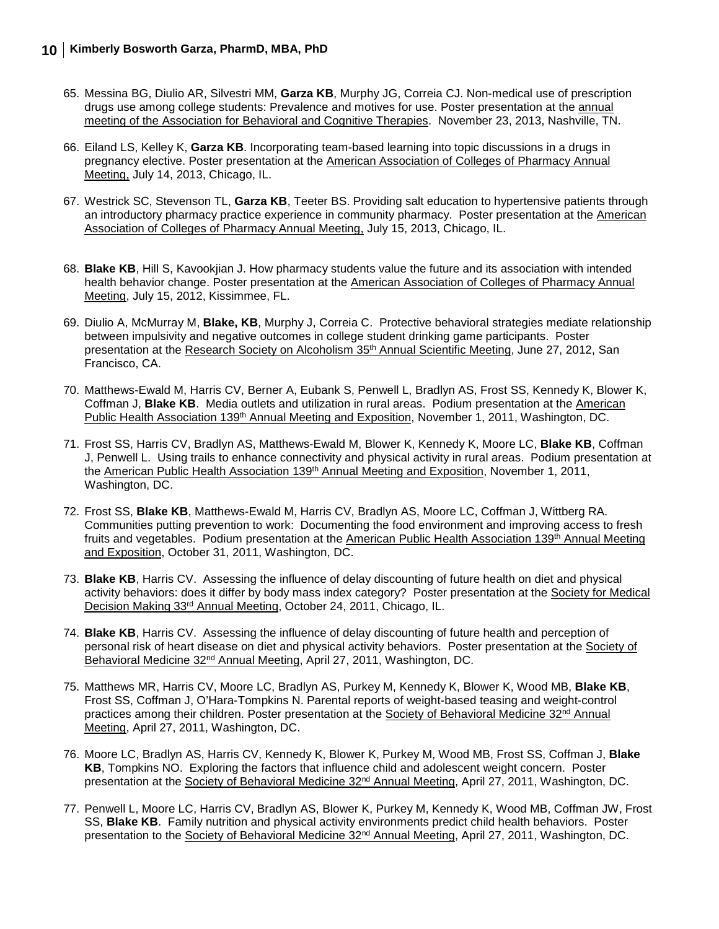- 65. Messina BG, Diulio AR, Silvestri MM, **Garza KB**, Murphy JG, Correia CJ. Non-medical use of prescription drugs use among college students: Prevalence and motives for use. Poster presentation at the annual meeting of the Association for Behavioral and Cognitive Therapies. November 23, 2013, Nashville, TN.
- 66. Eiland LS, Kelley K, **Garza KB**. Incorporating team-based learning into topic discussions in a drugs in pregnancy elective. Poster presentation at the American Association of Colleges of Pharmacy Annual Meeting, July 14, 2013, Chicago, IL.
- 67. Westrick SC, Stevenson TL, **Garza KB**, Teeter BS. Providing salt education to hypertensive patients through an introductory pharmacy practice experience in community pharmacy. Poster presentation at the American Association of Colleges of Pharmacy Annual Meeting, July 15, 2013, Chicago, IL.
- 68. **Blake KB**, Hill S, Kavookjian J. How pharmacy students value the future and its association with intended health behavior change. Poster presentation at the American Association of Colleges of Pharmacy Annual Meeting, July 15, 2012, Kissimmee, FL.
- 69. Diulio A, McMurray M, **Blake, KB**, Murphy J, Correia C. Protective behavioral strategies mediate relationship between impulsivity and negative outcomes in college student drinking game participants. Poster presentation at the Research Society on Alcoholism 35<sup>th</sup> Annual Scientific Meeting, June 27, 2012, San Francisco, CA.
- 70. Matthews-Ewald M, Harris CV, Berner A, Eubank S, Penwell L, Bradlyn AS, Frost SS, Kennedy K, Blower K, Coffman J, **Blake KB**. Media outlets and utilization in rural areas. Podium presentation at the American Public Health Association 139th Annual Meeting and Exposition, November 1, 2011, Washington, DC.
- 71. Frost SS, Harris CV, Bradlyn AS, Matthews-Ewald M, Blower K, Kennedy K, Moore LC, **Blake KB**, Coffman J, Penwell L. Using trails to enhance connectivity and physical activity in rural areas. Podium presentation at the American Public Health Association 139<sup>th</sup> Annual Meeting and Exposition, November 1, 2011, Washington, DC.
- 72. Frost SS, **Blake KB**, Matthews-Ewald M, Harris CV, Bradlyn AS, Moore LC, Coffman J, Wittberg RA. Communities putting prevention to work: Documenting the food environment and improving access to fresh fruits and vegetables. Podium presentation at the American Public Health Association 139<sup>th</sup> Annual Meeting and Exposition, October 31, 2011, Washington, DC.
- 73. **Blake KB**, Harris CV. Assessing the influence of delay discounting of future health on diet and physical activity behaviors: does it differ by body mass index category? Poster presentation at the Society for Medical Decision Making 33rd Annual Meeting, October 24, 2011, Chicago, IL.
- 74. **Blake KB**, Harris CV. Assessing the influence of delay discounting of future health and perception of personal risk of heart disease on diet and physical activity behaviors. Poster presentation at the Society of Behavioral Medicine 32nd Annual Meeting, April 27, 2011, Washington, DC.
- 75. Matthews MR, Harris CV, Moore LC, Bradlyn AS, Purkey M, Kennedy K, Blower K, Wood MB, **Blake KB**, Frost SS, Coffman J, O'Hara-Tompkins N. Parental reports of weight-based teasing and weight-control practices among their children. Poster presentation at the Society of Behavioral Medicine 32<sup>nd</sup> Annual Meeting, April 27, 2011, Washington, DC.
- 76. Moore LC, Bradlyn AS, Harris CV, Kennedy K, Blower K, Purkey M, Wood MB, Frost SS, Coffman J, **Blake KB**, Tompkins NO. Exploring the factors that influence child and adolescent weight concern. Poster presentation at the Society of Behavioral Medicine 32nd Annual Meeting, April 27, 2011, Washington, DC.
- 77. Penwell L, Moore LC, Harris CV, Bradlyn AS, Blower K, Purkey M, Kennedy K, Wood MB, Coffman JW, Frost SS, **Blake KB**. Family nutrition and physical activity environments predict child health behaviors. Poster presentation to the Society of Behavioral Medicine 32nd Annual Meeting, April 27, 2011, Washington, DC.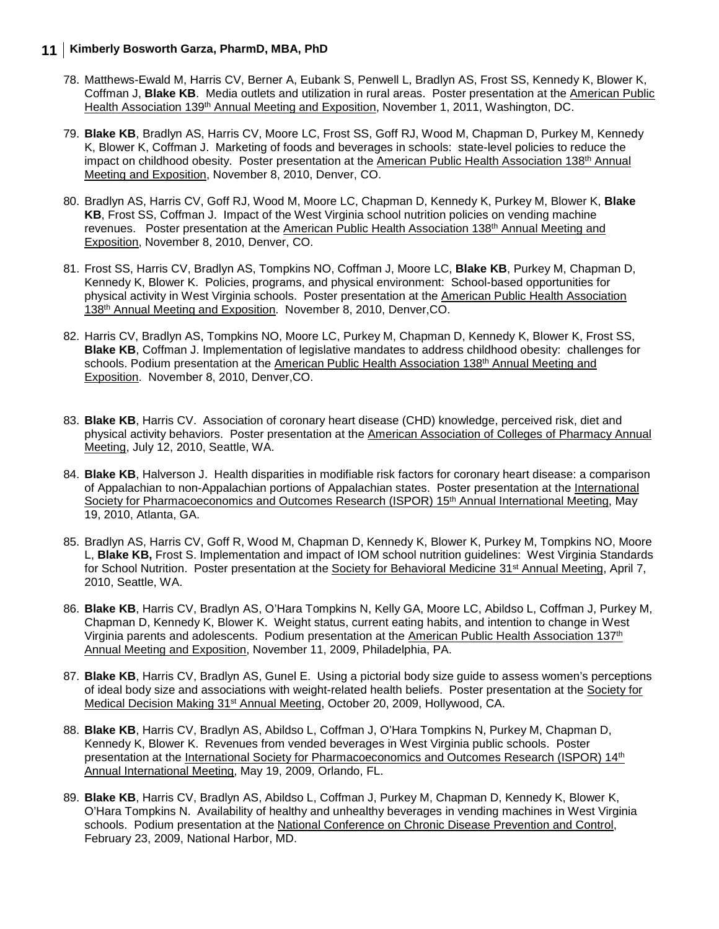- 78. Matthews-Ewald M, Harris CV, Berner A, Eubank S, Penwell L, Bradlyn AS, Frost SS, Kennedy K, Blower K, Coffman J, **Blake KB**. Media outlets and utilization in rural areas. Poster presentation at the American Public Health Association 139<sup>th</sup> Annual Meeting and Exposition, November 1, 2011, Washington, DC.
- 79. **Blake KB**, Bradlyn AS, Harris CV, Moore LC, Frost SS, Goff RJ, Wood M, Chapman D, Purkey M, Kennedy K, Blower K, Coffman J. Marketing of foods and beverages in schools: state-level policies to reduce the impact on childhood obesity. Poster presentation at the American Public Health Association 138<sup>th</sup> Annual Meeting and Exposition, November 8, 2010, Denver, CO.
- 80. Bradlyn AS, Harris CV, Goff RJ, Wood M, Moore LC, Chapman D, Kennedy K, Purkey M, Blower K, **Blake KB**, Frost SS, Coffman J. Impact of the West Virginia school nutrition policies on vending machine revenues. Poster presentation at the American Public Health Association 138<sup>th</sup> Annual Meeting and Exposition, November 8, 2010, Denver, CO.
- 81. Frost SS, Harris CV, Bradlyn AS, Tompkins NO, Coffman J, Moore LC, **Blake KB**, Purkey M, Chapman D, Kennedy K, Blower K. Policies, programs, and physical environment: School-based opportunities for physical activity in West Virginia schools. Poster presentation at the American Public Health Association 138th Annual Meeting and Exposition. November 8, 2010, Denver,CO.
- 82. Harris CV, Bradlyn AS, Tompkins NO, Moore LC, Purkey M, Chapman D, Kennedy K, Blower K, Frost SS, **Blake KB**, Coffman J. Implementation of legislative mandates to address childhood obesity: challenges for schools. Podium presentation at the American Public Health Association 138<sup>th</sup> Annual Meeting and Exposition. November 8, 2010, Denver,CO.
- 83. **Blake KB**, Harris CV. Association of coronary heart disease (CHD) knowledge, perceived risk, diet and physical activity behaviors. Poster presentation at the American Association of Colleges of Pharmacy Annual Meeting, July 12, 2010, Seattle, WA.
- 84. **Blake KB**, Halverson J. Health disparities in modifiable risk factors for coronary heart disease: a comparison of Appalachian to non-Appalachian portions of Appalachian states. Poster presentation at the International Society for Pharmacoeconomics and Outcomes Research (ISPOR) 15<sup>th</sup> Annual International Meeting, May 19, 2010, Atlanta, GA.
- 85. Bradlyn AS, Harris CV, Goff R, Wood M, Chapman D, Kennedy K, Blower K, Purkey M, Tompkins NO, Moore L, **Blake KB,** Frost S. Implementation and impact of IOM school nutrition guidelines: West Virginia Standards for School Nutrition. Poster presentation at the Society for Behavioral Medicine 31<sup>st</sup> Annual Meeting, April 7, 2010, Seattle, WA.
- 86. **Blake KB**, Harris CV, Bradlyn AS, O'Hara Tompkins N, Kelly GA, Moore LC, Abildso L, Coffman J, Purkey M, Chapman D, Kennedy K, Blower K. Weight status, current eating habits, and intention to change in West Virginia parents and adolescents. Podium presentation at the American Public Health Association 137th Annual Meeting and Exposition, November 11, 2009, Philadelphia, PA.
- 87. **Blake KB**, Harris CV, Bradlyn AS, Gunel E. Using a pictorial body size guide to assess women's perceptions of ideal body size and associations with weight-related health beliefs. Poster presentation at the Society for Medical Decision Making 31st Annual Meeting, October 20, 2009, Hollywood, CA.
- 88. **Blake KB**, Harris CV, Bradlyn AS, Abildso L, Coffman J, O'Hara Tompkins N, Purkey M, Chapman D, Kennedy K, Blower K. Revenues from vended beverages in West Virginia public schools. Poster presentation at the International Society for Pharmacoeconomics and Outcomes Research (ISPOR) 14th Annual International Meeting, May 19, 2009, Orlando, FL.
- 89. **Blake KB**, Harris CV, Bradlyn AS, Abildso L, Coffman J, Purkey M, Chapman D, Kennedy K, Blower K, O'Hara Tompkins N. Availability of healthy and unhealthy beverages in vending machines in West Virginia schools. Podium presentation at the National Conference on Chronic Disease Prevention and Control, February 23, 2009, National Harbor, MD.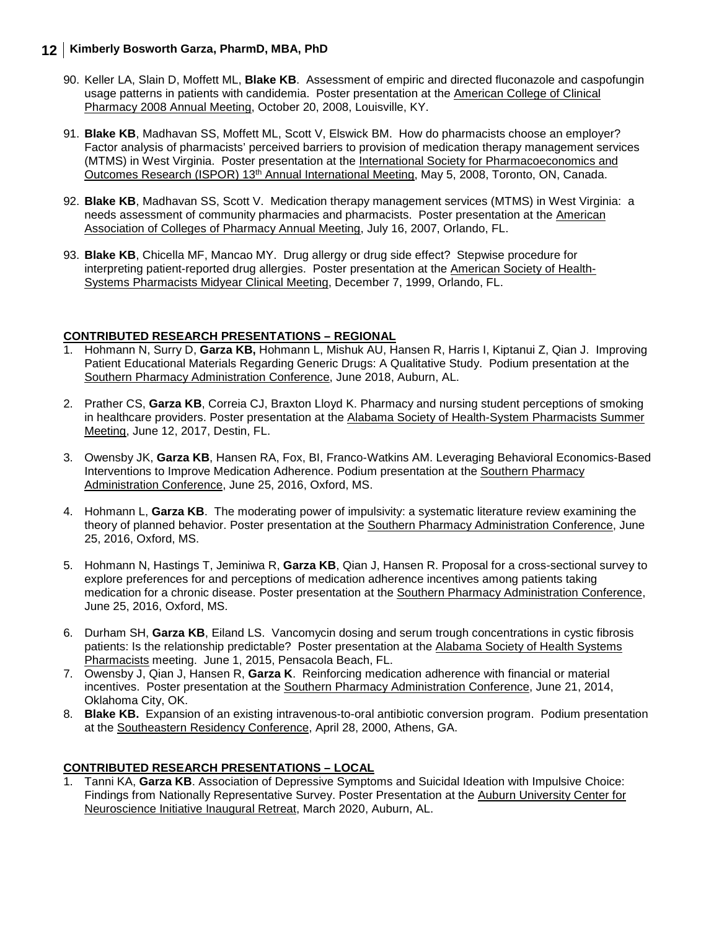- 90. Keller LA, Slain D, Moffett ML, **Blake KB**. Assessment of empiric and directed fluconazole and caspofungin usage patterns in patients with candidemia. Poster presentation at the American College of Clinical Pharmacy 2008 Annual Meeting, October 20, 2008, Louisville, KY.
- 91. **Blake KB**, Madhavan SS, Moffett ML, Scott V, Elswick BM. How do pharmacists choose an employer? Factor analysis of pharmacists' perceived barriers to provision of medication therapy management services (MTMS) in West Virginia. Poster presentation at the International Society for Pharmacoeconomics and Outcomes Research (ISPOR) 13th Annual International Meeting, May 5, 2008, Toronto, ON, Canada.
- 92. **Blake KB**, Madhavan SS, Scott V. Medication therapy management services (MTMS) in West Virginia: a needs assessment of community pharmacies and pharmacists. Poster presentation at the American Association of Colleges of Pharmacy Annual Meeting, July 16, 2007, Orlando, FL.
- 93. **Blake KB**, Chicella MF, Mancao MY. Drug allergy or drug side effect? Stepwise procedure for interpreting patient-reported drug allergies. Poster presentation at the American Society of Health-Systems Pharmacists Midyear Clinical Meeting, December 7, 1999, Orlando, FL.

#### **CONTRIBUTED RESEARCH PRESENTATIONS – REGIONAL**

- 1. Hohmann N, Surry D, **Garza KB,** Hohmann L, Mishuk AU, Hansen R, Harris I, Kiptanui Z, Qian J. Improving Patient Educational Materials Regarding Generic Drugs: A Qualitative Study. Podium presentation at the Southern Pharmacy Administration Conference, June 2018, Auburn, AL.
- 2. Prather CS, **Garza KB**, Correia CJ, Braxton Lloyd K. Pharmacy and nursing student perceptions of smoking in healthcare providers. Poster presentation at the Alabama Society of Health-System Pharmacists Summer Meeting, June 12, 2017, Destin, FL.
- 3. Owensby JK, **Garza KB**, Hansen RA, Fox, BI, Franco-Watkins AM. Leveraging Behavioral Economics-Based Interventions to Improve Medication Adherence. Podium presentation at the Southern Pharmacy Administration Conference, June 25, 2016, Oxford, MS.
- 4. Hohmann L, **Garza KB**. The moderating power of impulsivity: a systematic literature review examining the theory of planned behavior. Poster presentation at the Southern Pharmacy Administration Conference, June 25, 2016, Oxford, MS.
- 5. Hohmann N, Hastings T, Jeminiwa R, **Garza KB**, Qian J, Hansen R. Proposal for a cross-sectional survey to explore preferences for and perceptions of medication adherence incentives among patients taking medication for a chronic disease. Poster presentation at the Southern Pharmacy Administration Conference, June 25, 2016, Oxford, MS.
- 6. Durham SH, **Garza KB**, Eiland LS. Vancomycin dosing and serum trough concentrations in cystic fibrosis patients: Is the relationship predictable? Poster presentation at the Alabama Society of Health Systems Pharmacists meeting. June 1, 2015, Pensacola Beach, FL.
- 7. Owensby J, Qian J, Hansen R, **Garza K**. Reinforcing medication adherence with financial or material incentives. Poster presentation at the Southern Pharmacy Administration Conference, June 21, 2014, Oklahoma City, OK.
- 8. **Blake KB.** Expansion of an existing intravenous-to-oral antibiotic conversion program. Podium presentation at the Southeastern Residency Conference, April 28, 2000, Athens, GA.

### **CONTRIBUTED RESEARCH PRESENTATIONS – LOCAL**

1. Tanni KA, **Garza KB**. Association of Depressive Symptoms and Suicidal Ideation with Impulsive Choice: Findings from Nationally Representative Survey. Poster Presentation at the Auburn University Center for Neuroscience Initiative Inaugural Retreat, March 2020, Auburn, AL.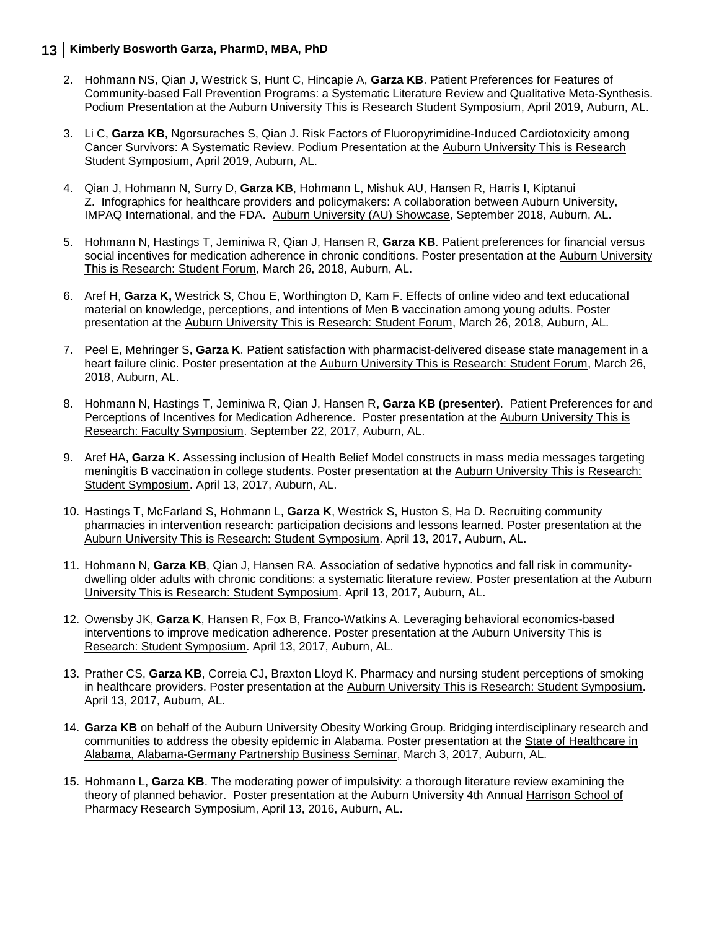- 2. Hohmann NS, Qian J, Westrick S, Hunt C, Hincapie A, **Garza KB**. Patient Preferences for Features of Community-based Fall Prevention Programs: a Systematic Literature Review and Qualitative Meta-Synthesis. Podium Presentation at the Auburn University This is Research Student Symposium, April 2019, Auburn, AL.
- 3. Li C, **Garza KB**, Ngorsuraches S, Qian J. Risk Factors of Fluoropyrimidine-Induced Cardiotoxicity among Cancer Survivors: A Systematic Review. Podium Presentation at the Auburn University This is Research Student Symposium, April 2019, Auburn, AL.
- 4. Qian J, Hohmann N, Surry D, **Garza KB**, Hohmann L, Mishuk AU, Hansen R, Harris I, Kiptanui Z. Infographics for healthcare providers and policymakers: A collaboration between Auburn University, IMPAQ International, and the FDA. Auburn University (AU) Showcase, September 2018, Auburn, AL.
- 5. Hohmann N, Hastings T, Jeminiwa R, Qian J, Hansen R, **Garza KB**. Patient preferences for financial versus social incentives for medication adherence in chronic conditions. Poster presentation at the Auburn University This is Research: Student Forum, March 26, 2018, Auburn, AL.
- 6. Aref H, **Garza K,** Westrick S, Chou E, Worthington D, Kam F. Effects of online video and text educational material on knowledge, perceptions, and intentions of Men B vaccination among young adults. Poster presentation at the Auburn University This is Research: Student Forum, March 26, 2018, Auburn, AL.
- 7. Peel E, Mehringer S, **Garza K**. Patient satisfaction with pharmacist-delivered disease state management in a heart failure clinic. Poster presentation at the Auburn University This is Research: Student Forum, March 26, 2018, Auburn, AL.
- 8. Hohmann N, Hastings T, Jeminiwa R, Qian J, Hansen R**, Garza KB (presenter)**. Patient Preferences for and Perceptions of Incentives for Medication Adherence. Poster presentation at the Auburn University This is Research: Faculty Symposium. September 22, 2017, Auburn, AL.
- 9. Aref HA, **Garza K**. Assessing inclusion of Health Belief Model constructs in mass media messages targeting meningitis B vaccination in college students. Poster presentation at the Auburn University This is Research: Student Symposium. April 13, 2017, Auburn, AL.
- 10. Hastings T, McFarland S, Hohmann L, **Garza K**, Westrick S, Huston S, Ha D. Recruiting community pharmacies in intervention research: participation decisions and lessons learned. Poster presentation at the Auburn University This is Research: Student Symposium. April 13, 2017, Auburn, AL.
- 11. Hohmann N, **Garza KB**, Qian J, Hansen RA. Association of sedative hypnotics and fall risk in communitydwelling older adults with chronic conditions: a systematic literature review. Poster presentation at the Auburn University This is Research: Student Symposium. April 13, 2017, Auburn, AL.
- 12. Owensby JK, **Garza K**, Hansen R, Fox B, Franco-Watkins A. Leveraging behavioral economics-based interventions to improve medication adherence. Poster presentation at the Auburn University This is Research: Student Symposium. April 13, 2017, Auburn, AL.
- 13. Prather CS, **Garza KB**, Correia CJ, Braxton Lloyd K. Pharmacy and nursing student perceptions of smoking in healthcare providers. Poster presentation at the Auburn University This is Research: Student Symposium. April 13, 2017, Auburn, AL.
- 14. **Garza KB** on behalf of the Auburn University Obesity Working Group. Bridging interdisciplinary research and communities to address the obesity epidemic in Alabama. Poster presentation at the State of Healthcare in Alabama, Alabama-Germany Partnership Business Seminar, March 3, 2017, Auburn, AL.
- 15. Hohmann L, **Garza KB**. The moderating power of impulsivity: a thorough literature review examining the theory of planned behavior. Poster presentation at the Auburn University 4th Annual Harrison School of Pharmacy Research Symposium, April 13, 2016, Auburn, AL.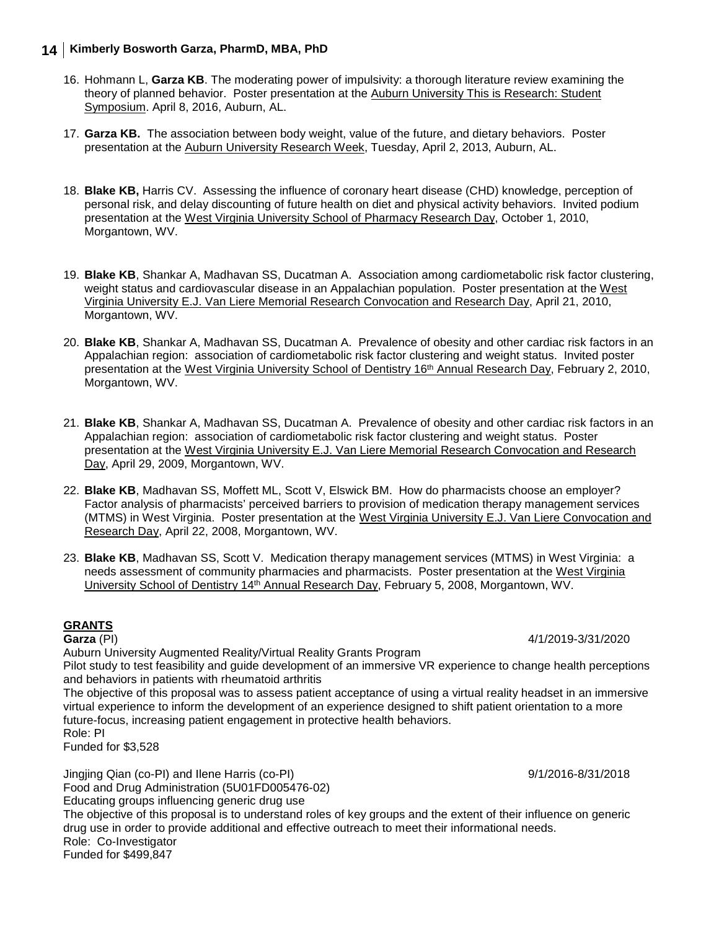- 16. Hohmann L, **Garza KB**. The moderating power of impulsivity: a thorough literature review examining the theory of planned behavior. Poster presentation at the Auburn University This is Research: Student Symposium. April 8, 2016, Auburn, AL.
- 17. **Garza KB.** The association between body weight, value of the future, and dietary behaviors. Poster presentation at the Auburn University Research Week, Tuesday, April 2, 2013, Auburn, AL.
- 18. **Blake KB,** Harris CV. Assessing the influence of coronary heart disease (CHD) knowledge, perception of personal risk, and delay discounting of future health on diet and physical activity behaviors. Invited podium presentation at the West Virginia University School of Pharmacy Research Day, October 1, 2010, Morgantown, WV.
- 19. **Blake KB**, Shankar A, Madhavan SS, Ducatman A. Association among cardiometabolic risk factor clustering, weight status and cardiovascular disease in an Appalachian population. Poster presentation at the West Virginia University E.J. Van Liere Memorial Research Convocation and Research Day, April 21, 2010, Morgantown, WV.
- 20. **Blake KB**, Shankar A, Madhavan SS, Ducatman A. Prevalence of obesity and other cardiac risk factors in an Appalachian region: association of cardiometabolic risk factor clustering and weight status. Invited poster presentation at the West Virginia University School of Dentistry 16th Annual Research Day, February 2, 2010, Morgantown, WV.
- 21. **Blake KB**, Shankar A, Madhavan SS, Ducatman A. Prevalence of obesity and other cardiac risk factors in an Appalachian region: association of cardiometabolic risk factor clustering and weight status. Poster presentation at the West Virginia University E.J. Van Liere Memorial Research Convocation and Research Day, April 29, 2009, Morgantown, WV.
- 22. **Blake KB**, Madhavan SS, Moffett ML, Scott V, Elswick BM. How do pharmacists choose an employer? Factor analysis of pharmacists' perceived barriers to provision of medication therapy management services (MTMS) in West Virginia. Poster presentation at the West Virginia University E.J. Van Liere Convocation and Research Day, April 22, 2008, Morgantown, WV.
- 23. **Blake KB**, Madhavan SS, Scott V. Medication therapy management services (MTMS) in West Virginia: a needs assessment of community pharmacies and pharmacists. Poster presentation at the West Virginia University School of Dentistry 14<sup>th</sup> Annual Research Day, February 5, 2008, Morgantown, WV.

# **GRANTS**<br>**Garza** (PI)

Auburn University Augmented Reality/Virtual Reality Grants Program

Pilot study to test feasibility and guide development of an immersive VR experience to change health perceptions and behaviors in patients with rheumatoid arthritis

The objective of this proposal was to assess patient acceptance of using a virtual reality headset in an immersive virtual experience to inform the development of an experience designed to shift patient orientation to a more future-focus, increasing patient engagement in protective health behaviors. Role: PI

Funded for \$3,528

Jingjing Qian (co-PI) and Ilene Harris (co-PI) 9/1/2016-8/31/2018 Food and Drug Administration (5U01FD005476-02) Educating groups influencing generic drug use The objective of this proposal is to understand roles of key groups and the extent of their influence on generic drug use in order to provide additional and effective outreach to meet their informational needs. Role: Co-Investigator Funded for \$499,847

**Garza** (PI) 4/1/2019-3/31/2020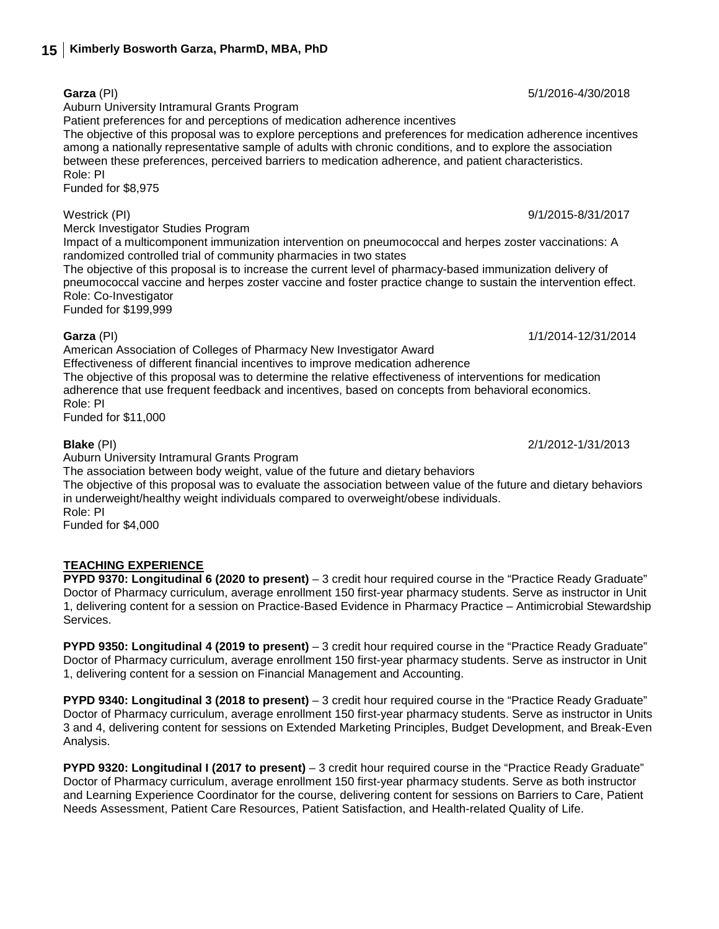Auburn University Intramural Grants Program

Patient preferences for and perceptions of medication adherence incentives

The objective of this proposal was to explore perceptions and preferences for medication adherence incentives among a nationally representative sample of adults with chronic conditions, and to explore the association between these preferences, perceived barriers to medication adherence, and patient characteristics. Role: PI

Funded for \$8,975

Westrick (PI) 9/1/2015-8/31/2017

Merck Investigator Studies Program

Impact of a multicomponent immunization intervention on pneumococcal and herpes zoster vaccinations: A randomized controlled trial of community pharmacies in two states

The objective of this proposal is to increase the current level of pharmacy-based immunization delivery of pneumococcal vaccine and herpes zoster vaccine and foster practice change to sustain the intervention effect. Role: Co-Investigator

Funded for \$199,999

### **Garza** (PI) 1/1/2014-12/31/2014

American Association of Colleges of Pharmacy New Investigator Award Effectiveness of different financial incentives to improve medication adherence The objective of this proposal was to determine the relative effectiveness of interventions for medication adherence that use frequent feedback and incentives, based on concepts from behavioral economics. Role: PI Funded for \$11,000

Auburn University Intramural Grants Program

The association between body weight, value of the future and dietary behaviors

The objective of this proposal was to evaluate the association between value of the future and dietary behaviors in underweight/healthy weight individuals compared to overweight/obese individuals. Role: PI

Funded for \$4,000

### **TEACHING EXPERIENCE**

**PYPD 9370: Longitudinal 6 (2020 to present)** – 3 credit hour required course in the "Practice Ready Graduate" Doctor of Pharmacy curriculum, average enrollment 150 first-year pharmacy students. Serve as instructor in Unit 1, delivering content for a session on Practice-Based Evidence in Pharmacy Practice – Antimicrobial Stewardship Services.

**PYPD 9350: Longitudinal 4 (2019 to present)** – 3 credit hour required course in the "Practice Ready Graduate" Doctor of Pharmacy curriculum, average enrollment 150 first-year pharmacy students. Serve as instructor in Unit 1, delivering content for a session on Financial Management and Accounting.

**PYPD 9340: Longitudinal 3 (2018 to present)** – 3 credit hour required course in the "Practice Ready Graduate" Doctor of Pharmacy curriculum, average enrollment 150 first-year pharmacy students. Serve as instructor in Units 3 and 4, delivering content for sessions on Extended Marketing Principles, Budget Development, and Break-Even Analysis.

**PYPD 9320: Longitudinal I (2017 to present)** – 3 credit hour required course in the "Practice Ready Graduate" Doctor of Pharmacy curriculum, average enrollment 150 first-year pharmacy students. Serve as both instructor and Learning Experience Coordinator for the course, delivering content for sessions on Barriers to Care, Patient Needs Assessment, Patient Care Resources, Patient Satisfaction, and Health-related Quality of Life.

**Blake** (PI) 2/1/2012-1/31/2013

**Garza** (PI) 5/1/2016-4/30/2018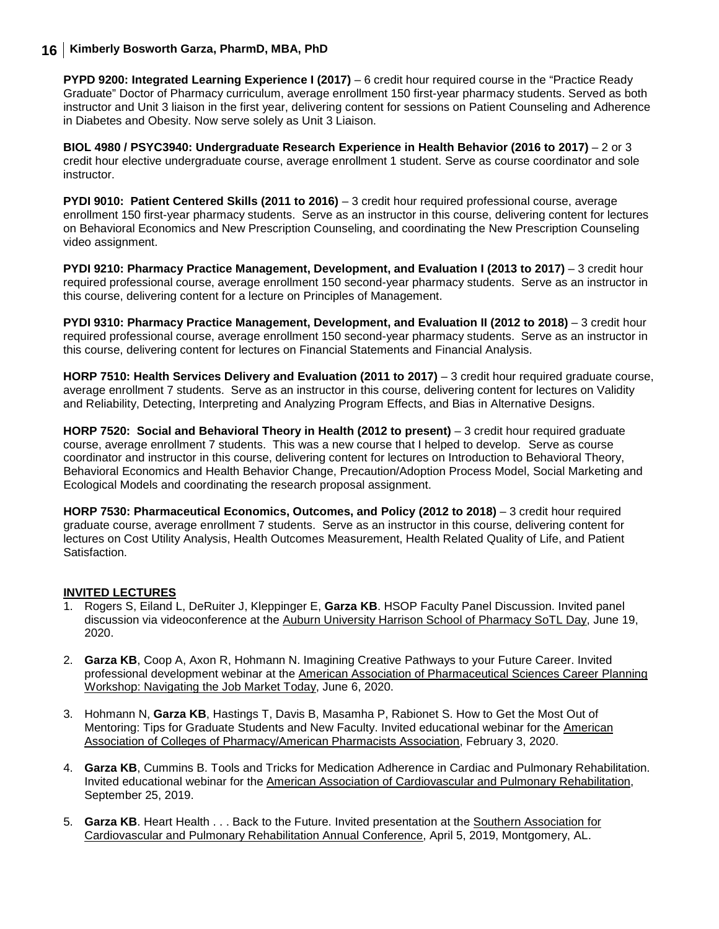**PYPD 9200: Integrated Learning Experience I (2017)** – 6 credit hour required course in the "Practice Ready Graduate" Doctor of Pharmacy curriculum, average enrollment 150 first-year pharmacy students. Served as both instructor and Unit 3 liaison in the first year, delivering content for sessions on Patient Counseling and Adherence in Diabetes and Obesity. Now serve solely as Unit 3 Liaison.

**BIOL 4980 / PSYC3940: Undergraduate Research Experience in Health Behavior (2016 to 2017)** – 2 or 3 credit hour elective undergraduate course, average enrollment 1 student. Serve as course coordinator and sole instructor.

**PYDI 9010: Patient Centered Skills (2011 to 2016)** – 3 credit hour required professional course, average enrollment 150 first-year pharmacy students. Serve as an instructor in this course, delivering content for lectures on Behavioral Economics and New Prescription Counseling, and coordinating the New Prescription Counseling video assignment.

**PYDI 9210: Pharmacy Practice Management, Development, and Evaluation I (2013 to 2017)** – 3 credit hour required professional course, average enrollment 150 second-year pharmacy students. Serve as an instructor in this course, delivering content for a lecture on Principles of Management.

**PYDI 9310: Pharmacy Practice Management, Development, and Evaluation II (2012 to 2018)** - 3 credit hour required professional course, average enrollment 150 second-year pharmacy students. Serve as an instructor in this course, delivering content for lectures on Financial Statements and Financial Analysis.

**HORP 7510: Health Services Delivery and Evaluation (2011 to 2017)** – 3 credit hour required graduate course, average enrollment 7 students. Serve as an instructor in this course, delivering content for lectures on Validity and Reliability, Detecting, Interpreting and Analyzing Program Effects, and Bias in Alternative Designs.

**HORP 7520: Social and Behavioral Theory in Health (2012 to present) – 3 credit hour required graduate** course, average enrollment 7 students. This was a new course that I helped to develop. Serve as course coordinator and instructor in this course, delivering content for lectures on Introduction to Behavioral Theory, Behavioral Economics and Health Behavior Change, Precaution/Adoption Process Model, Social Marketing and Ecological Models and coordinating the research proposal assignment.

**HORP 7530: Pharmaceutical Economics, Outcomes, and Policy (2012 to 2018)** – 3 credit hour required graduate course, average enrollment 7 students. Serve as an instructor in this course, delivering content for lectures on Cost Utility Analysis, Health Outcomes Measurement, Health Related Quality of Life, and Patient **Satisfaction** 

#### **INVITED LECTURES**

- 1. Rogers S, Eiland L, DeRuiter J, Kleppinger E, **Garza KB**. HSOP Faculty Panel Discussion. Invited panel discussion via videoconference at the Auburn University Harrison School of Pharmacy SoTL Day, June 19, 2020.
- 2. **Garza KB**, Coop A, Axon R, Hohmann N. Imagining Creative Pathways to your Future Career. Invited professional development webinar at the American Association of Pharmaceutical Sciences Career Planning Workshop: Navigating the Job Market Today, June 6, 2020.
- 3. Hohmann N, **Garza KB**, Hastings T, Davis B, Masamha P, Rabionet S. How to Get the Most Out of Mentoring: Tips for Graduate Students and New Faculty. Invited educational webinar for the American Association of Colleges of Pharmacy/American Pharmacists Association, February 3, 2020.
- 4. **Garza KB**, Cummins B. Tools and Tricks for Medication Adherence in Cardiac and Pulmonary Rehabilitation. Invited educational webinar for the American Association of Cardiovascular and Pulmonary Rehabilitation, September 25, 2019.
- 5. **Garza KB**. Heart Health . . . Back to the Future. Invited presentation at the Southern Association for Cardiovascular and Pulmonary Rehabilitation Annual Conference, April 5, 2019, Montgomery, AL.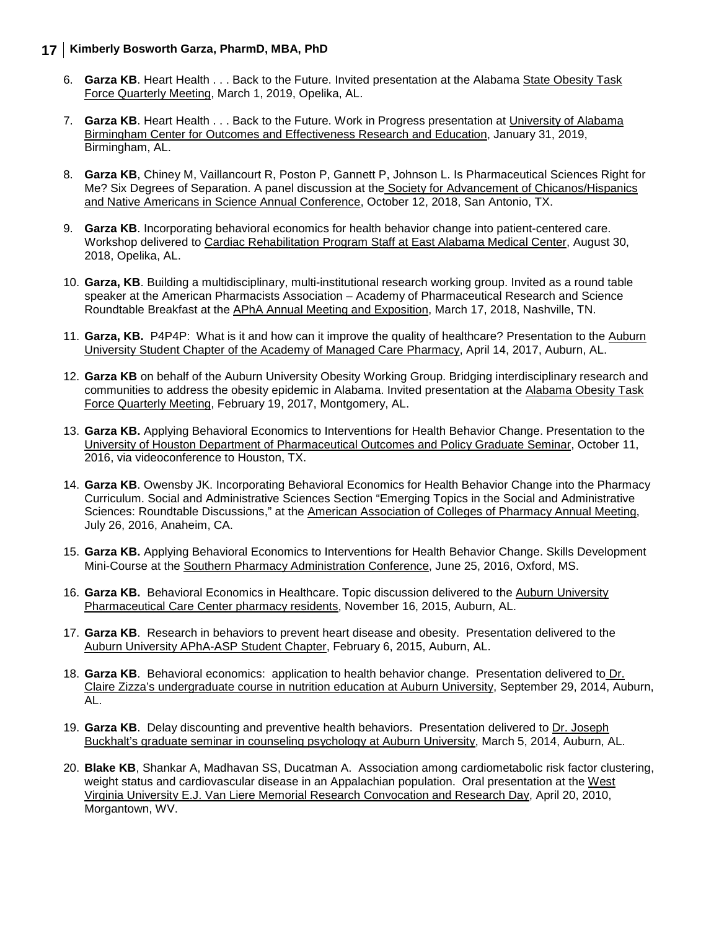- 6. **Garza KB**. Heart Health . . . Back to the Future. Invited presentation at the Alabama State Obesity Task Force Quarterly Meeting, March 1, 2019, Opelika, AL.
- 7. **Garza KB**. Heart Health . . . Back to the Future. Work in Progress presentation at University of Alabama Birmingham Center for Outcomes and Effectiveness Research and Education, January 31, 2019, Birmingham, AL.
- 8. **Garza KB**, Chiney M, Vaillancourt R, Poston P, Gannett P, Johnson L. Is Pharmaceutical Sciences Right for Me? Six Degrees of Separation. A panel discussion at the Society for Advancement of Chicanos/Hispanics and Native Americans in Science Annual Conference, October 12, 2018, San Antonio, TX.
- 9. **Garza KB**. Incorporating behavioral economics for health behavior change into patient-centered care. Workshop delivered to Cardiac Rehabilitation Program Staff at East Alabama Medical Center, August 30, 2018, Opelika, AL.
- 10. **Garza, KB**. Building a multidisciplinary, multi-institutional research working group. Invited as a round table speaker at the American Pharmacists Association – Academy of Pharmaceutical Research and Science Roundtable Breakfast at the APhA Annual Meeting and Exposition, March 17, 2018, Nashville, TN.
- 11. **Garza, KB.** P4P4P: What is it and how can it improve the quality of healthcare? Presentation to the Auburn University Student Chapter of the Academy of Managed Care Pharmacy, April 14, 2017, Auburn, AL.
- 12. **Garza KB** on behalf of the Auburn University Obesity Working Group. Bridging interdisciplinary research and communities to address the obesity epidemic in Alabama. Invited presentation at the Alabama Obesity Task Force Quarterly Meeting, February 19, 2017, Montgomery, AL.
- 13. **Garza KB.** Applying Behavioral Economics to Interventions for Health Behavior Change. Presentation to the University of Houston Department of Pharmaceutical Outcomes and Policy Graduate Seminar, October 11, 2016, via videoconference to Houston, TX.
- 14. **Garza KB**. Owensby JK. Incorporating Behavioral Economics for Health Behavior Change into the Pharmacy Curriculum. Social and Administrative Sciences Section "Emerging Topics in the Social and Administrative Sciences: Roundtable Discussions," at the American Association of Colleges of Pharmacy Annual Meeting, July 26, 2016, Anaheim, CA.
- 15. **Garza KB.** Applying Behavioral Economics to Interventions for Health Behavior Change. Skills Development Mini-Course at the Southern Pharmacy Administration Conference, June 25, 2016, Oxford, MS.
- 16. **Garza KB.** Behavioral Economics in Healthcare. Topic discussion delivered to the Auburn University Pharmaceutical Care Center pharmacy residents, November 16, 2015, Auburn, AL.
- 17. **Garza KB**. Research in behaviors to prevent heart disease and obesity. Presentation delivered to the Auburn University APhA-ASP Student Chapter, February 6, 2015, Auburn, AL.
- 18. **Garza KB**. Behavioral economics: application to health behavior change. Presentation delivered to Dr. Claire Zizza's undergraduate course in nutrition education at Auburn University, September 29, 2014, Auburn, AL.
- 19. **Garza KB**. Delay discounting and preventive health behaviors. Presentation delivered to Dr. Joseph Buckhalt's graduate seminar in counseling psychology at Auburn University, March 5, 2014, Auburn, AL.
- 20. **Blake KB**, Shankar A, Madhavan SS, Ducatman A. Association among cardiometabolic risk factor clustering, weight status and cardiovascular disease in an Appalachian population. Oral presentation at the West Virginia University E.J. Van Liere Memorial Research Convocation and Research Day, April 20, 2010, Morgantown, WV.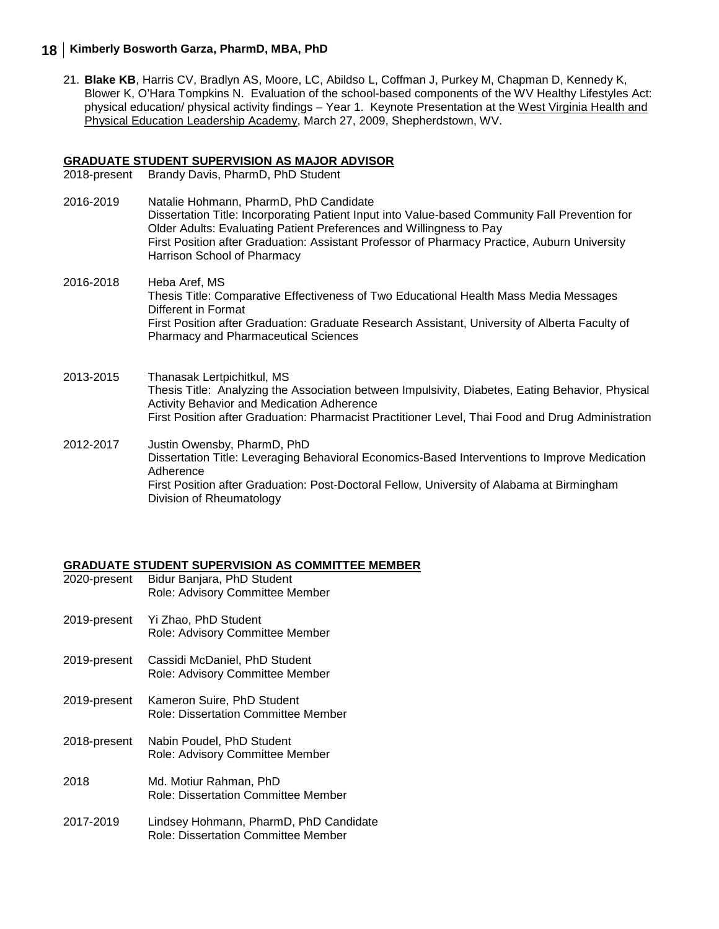21. **Blake KB**, Harris CV, Bradlyn AS, Moore, LC, Abildso L, Coffman J, Purkey M, Chapman D, Kennedy K, Blower K, O'Hara Tompkins N. Evaluation of the school-based components of the WV Healthy Lifestyles Act: physical education/ physical activity findings – Year 1. Keynote Presentation at the West Virginia Health and Physical Education Leadership Academy, March 27, 2009, Shepherdstown, WV.

# **GRADUATE STUDENT SUPERVISION AS MAJOR ADVISOR**

Brandy Davis, PharmD, PhD Student

- 2016-2019 Natalie Hohmann, PharmD, PhD Candidate Dissertation Title: Incorporating Patient Input into Value-based Community Fall Prevention for Older Adults: Evaluating Patient Preferences and Willingness to Pay First Position after Graduation: Assistant Professor of Pharmacy Practice, Auburn University Harrison School of Pharmacy
- 2016-2018 Heba Aref, MS Thesis Title: Comparative Effectiveness of Two Educational Health Mass Media Messages Different in Format First Position after Graduation: Graduate Research Assistant, University of Alberta Faculty of Pharmacy and Pharmaceutical Sciences
- 2013-2015 Thanasak Lertpichitkul, MS Thesis Title: Analyzing the Association between Impulsivity, Diabetes, Eating Behavior, Physical Activity Behavior and Medication Adherence First Position after Graduation: Pharmacist Practitioner Level, Thai Food and Drug Administration
- 2012-2017 Justin Owensby, PharmD, PhD Dissertation Title: Leveraging Behavioral Economics-Based Interventions to Improve Medication Adherence First Position after Graduation: Post-Doctoral Fellow, University of Alabama at Birmingham Division of Rheumatology

# **GRADUATE STUDENT SUPERVISION AS COMMITTEE MEMBER**

- Bidur Banjara, PhD Student Role: Advisory Committee Member 2019-present Yi Zhao, PhD Student Role: Advisory Committee Member 2019-present Cassidi McDaniel, PhD Student Role: Advisory Committee Member 2019-present Kameron Suire, PhD Student Role: Dissertation Committee Member 2018-present Nabin Poudel, PhD Student Role: Advisory Committee Member 2018 Md. Motiur Rahman, PhD Role: Dissertation Committee Member 2017-2019 Lindsey Hohmann, PharmD, PhD Candidate
	- Role: Dissertation Committee Member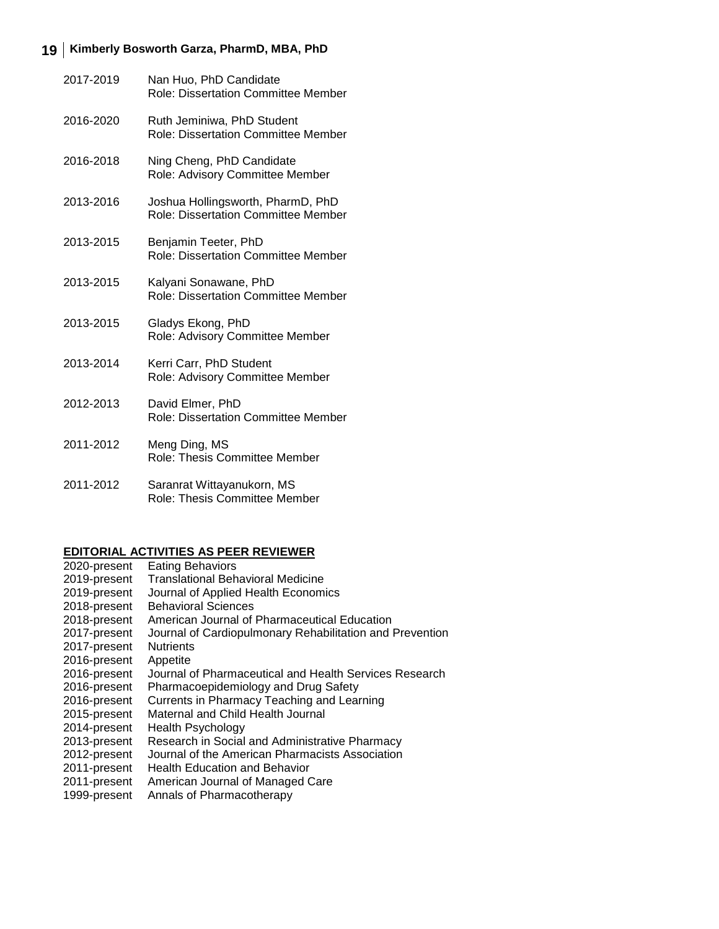| 2017-2019 | Nan Huo, PhD Candidate<br>Role: Dissertation Committee Member            |
|-----------|--------------------------------------------------------------------------|
| 2016-2020 | Ruth Jeminiwa, PhD Student<br><b>Role: Dissertation Committee Member</b> |
| 2016-2018 | Ning Cheng, PhD Candidate<br>Role: Advisory Committee Member             |
| 2013-2016 | Joshua Hollingsworth, PharmD, PhD<br>Role: Dissertation Committee Member |
| 2013-2015 | Benjamin Teeter, PhD<br><b>Role: Dissertation Committee Member</b>       |
| 2013-2015 | Kalyani Sonawane, PhD<br><b>Role: Dissertation Committee Member</b>      |
| 2013-2015 | Gladys Ekong, PhD<br>Role: Advisory Committee Member                     |
| 2013-2014 | Kerri Carr, PhD Student<br>Role: Advisory Committee Member               |
| 2012-2013 | David Elmer, PhD<br><b>Role: Dissertation Committee Member</b>           |
| 2011-2012 | Meng Ding, MS<br>Role: Thesis Committee Member                           |
| 2011-2012 | Saranrat Wittayanukorn, MS                                               |

Role: Thesis Committee Member

#### **EDITORIAL ACTIVITIES AS PEER REVIEWER**

| 2020-present | <b>Eating Behaviors</b>                                  |
|--------------|----------------------------------------------------------|
| 2019-present | <b>Translational Behavioral Medicine</b>                 |
| 2019-present | Journal of Applied Health Economics                      |
| 2018-present | <b>Behavioral Sciences</b>                               |
| 2018-present | American Journal of Pharmaceutical Education             |
| 2017-present | Journal of Cardiopulmonary Rehabilitation and Prevention |
| 2017-present | <b>Nutrients</b>                                         |
| 2016-present | Appetite                                                 |
| 2016-present | Journal of Pharmaceutical and Health Services Research   |
| 2016-present | Pharmacoepidemiology and Drug Safety                     |
| 2016-present | Currents in Pharmacy Teaching and Learning               |
| 2015-present | Maternal and Child Health Journal                        |
| 2014-present | Health Psychology                                        |
| 2013-present | Research in Social and Administrative Pharmacy           |
| 2012-present | Journal of the American Pharmacists Association          |
| 2011-present | <b>Health Education and Behavior</b>                     |
| 2011-present | American Journal of Managed Care                         |
| 1999-present | Annals of Pharmacotherapy                                |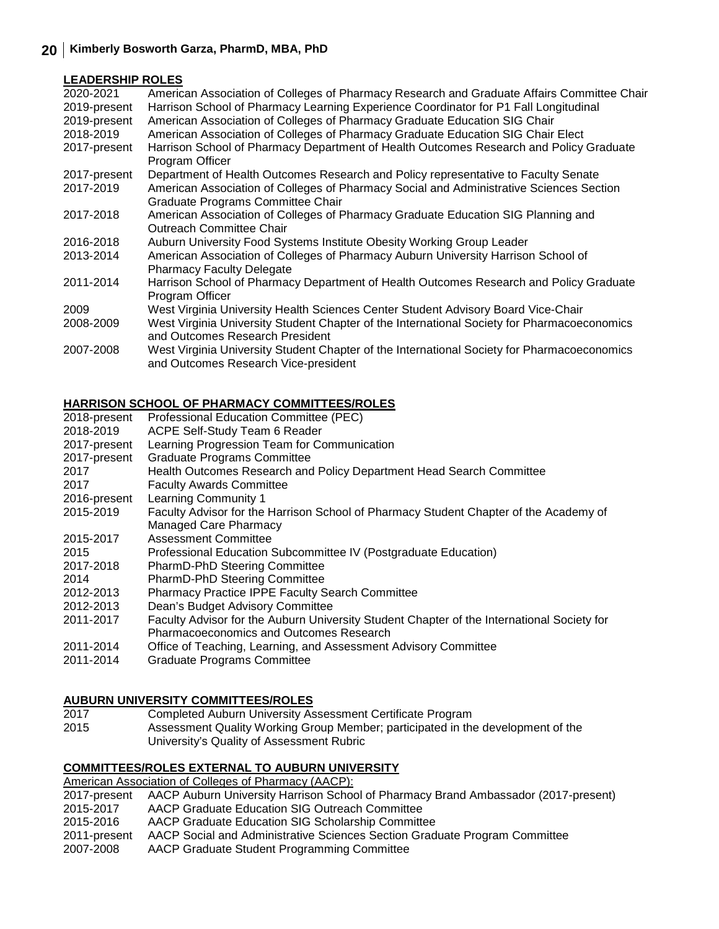#### **LEADERSHIP ROLES**

| 2020-2021    | American Association of Colleges of Pharmacy Research and Graduate Affairs Committee Chair  |
|--------------|---------------------------------------------------------------------------------------------|
| 2019-present | Harrison School of Pharmacy Learning Experience Coordinator for P1 Fall Longitudinal        |
| 2019-present | American Association of Colleges of Pharmacy Graduate Education SIG Chair                   |
| 2018-2019    | American Association of Colleges of Pharmacy Graduate Education SIG Chair Elect             |
| 2017-present | Harrison School of Pharmacy Department of Health Outcomes Research and Policy Graduate      |
|              | Program Officer                                                                             |
| 2017-present | Department of Health Outcomes Research and Policy representative to Faculty Senate          |
| 2017-2019    | American Association of Colleges of Pharmacy Social and Administrative Sciences Section     |
|              | Graduate Programs Committee Chair                                                           |
| 2017-2018    | American Association of Colleges of Pharmacy Graduate Education SIG Planning and            |
|              | Outreach Committee Chair                                                                    |
| 2016-2018    | Auburn University Food Systems Institute Obesity Working Group Leader                       |
| 2013-2014    | American Association of Colleges of Pharmacy Auburn University Harrison School of           |
|              | <b>Pharmacy Faculty Delegate</b>                                                            |
| 2011-2014    | Harrison School of Pharmacy Department of Health Outcomes Research and Policy Graduate      |
|              | Program Officer                                                                             |
| 2009         | West Virginia University Health Sciences Center Student Advisory Board Vice-Chair           |
| 2008-2009    | West Virginia University Student Chapter of the International Society for Pharmacoeconomics |
|              | and Outcomes Research President                                                             |
| 2007-2008    | West Virginia University Student Chapter of the International Society for Pharmacoeconomics |
|              | and Outcomes Research Vice-president                                                        |
|              |                                                                                             |

#### **HARRISON SCHOOL OF PHARMACY COMMITTEES/ROLES**

| 2018-present | Professional Education Committee (PEC)                                                     |
|--------------|--------------------------------------------------------------------------------------------|
| 2018-2019    | ACPE Self-Study Team 6 Reader                                                              |
| 2017-present | Learning Progression Team for Communication                                                |
| 2017-present | <b>Graduate Programs Committee</b>                                                         |
| 2017         | Health Outcomes Research and Policy Department Head Search Committee                       |
| 2017         | <b>Faculty Awards Committee</b>                                                            |
| 2016-present | Learning Community 1                                                                       |
| 2015-2019    | Faculty Advisor for the Harrison School of Pharmacy Student Chapter of the Academy of      |
|              | <b>Managed Care Pharmacy</b>                                                               |
| 2015-2017    | Assessment Committee                                                                       |
| 2015         | Professional Education Subcommittee IV (Postgraduate Education)                            |
| 2017-2018    | <b>PharmD-PhD Steering Committee</b>                                                       |
| 2014         | PharmD-PhD Steering Committee                                                              |
| 2012-2013    | <b>Pharmacy Practice IPPE Faculty Search Committee</b>                                     |
| 2012-2013    | Dean's Budget Advisory Committee                                                           |
| 2011-2017    | Faculty Advisor for the Auburn University Student Chapter of the International Society for |
|              | Pharmacoeconomics and Outcomes Research                                                    |
| 2011-2014    | Office of Teaching, Learning, and Assessment Advisory Committee                            |
| 2011-2014    | <b>Graduate Programs Committee</b>                                                         |
|              |                                                                                            |

# **AUBURN UNIVERSITY COMMITTEES/ROLES**

- 2017 Completed Auburn University Assessment Certificate Program
- 2015 Assessment Quality Working Group Member; participated in the development of the University's Quality of Assessment Rubric

#### **COMMITTEES/ROLES EXTERNAL TO AUBURN UNIVERSITY**

American Association of Colleges of Pharmacy (AACP):

| 2017-present | AACP Auburn University Harrison School of Pharmacy Brand Ambassador (2017-present) |
|--------------|------------------------------------------------------------------------------------|
| 2015-2017    | AACP Graduate Education SIG Outreach Committee                                     |
| 2015-2016    | AACP Graduate Education SIG Scholarship Committee                                  |
| 2011-present | AACP Social and Administrative Sciences Section Graduate Program Committee         |
| 2007-2008    | AACP Graduate Student Programming Committee                                        |